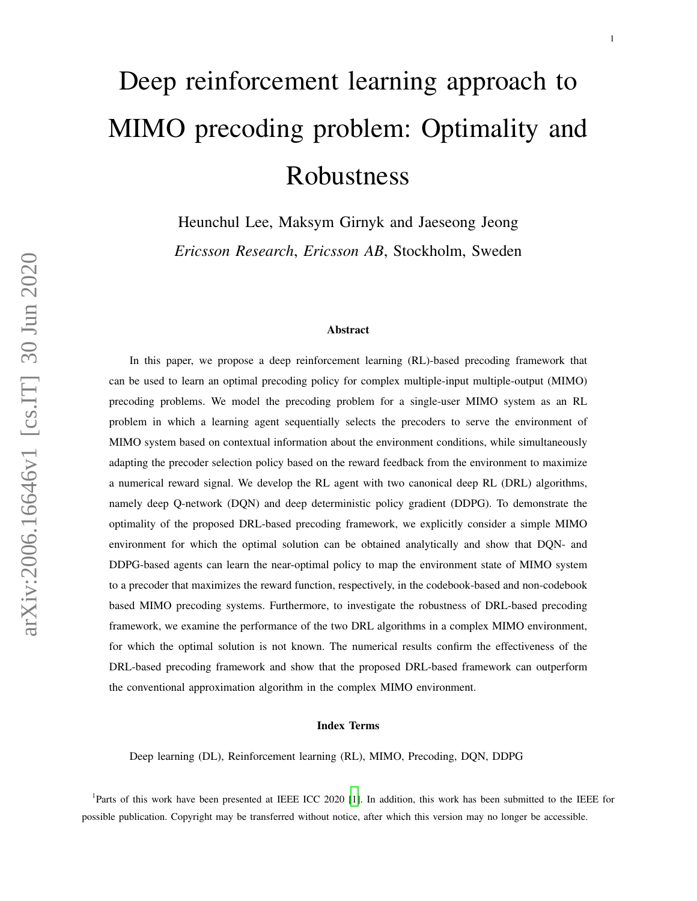# Deep reinforcement learning approach to MIMO precoding problem: Optimality and Robustness

Heunchul Lee, Maksym Girnyk and Jaeseong Jeong

*Ericsson Research*, *Ericsson AB*, Stockholm, Sweden

#### Abstract

In this paper, we propose a deep reinforcement learning (RL)-based precoding framework that can be used to learn an optimal precoding policy for complex multiple-input multiple-output (MIMO) precoding problems. We model the precoding problem for a single-user MIMO system as an RL problem in which a learning agent sequentially selects the precoders to serve the environment of MIMO system based on contextual information about the environment conditions, while simultaneously adapting the precoder selection policy based on the reward feedback from the environment to maximize a numerical reward signal. We develop the RL agent with two canonical deep RL (DRL) algorithms, namely deep Q-network (DQN) and deep deterministic policy gradient (DDPG). To demonstrate the optimality of the proposed DRL-based precoding framework, we explicitly consider a simple MIMO environment for which the optimal solution can be obtained analytically and show that DQN- and DDPG-based agents can learn the near-optimal policy to map the environment state of MIMO system to a precoder that maximizes the reward function, respectively, in the codebook-based and non-codebook based MIMO precoding systems. Furthermore, to investigate the robustness of DRL-based precoding framework, we examine the performance of the two DRL algorithms in a complex MIMO environment, for which the optimal solution is not known. The numerical results confirm the effectiveness of the DRL-based precoding framework and show that the proposed DRL-based framework can outperform the conventional approximation algorithm in the complex MIMO environment.

#### Index Terms

Deep learning (DL), Reinforcement learning (RL), MIMO, Precoding, DQN, DDPG

<sup>1</sup>Parts of this work have been presented at IEEE ICC 2020 [\[1\]](#page-28-0). In addition, this work has been submitted to the IEEE for possible publication. Copyright may be transferred without notice, after which this version may no longer be accessible.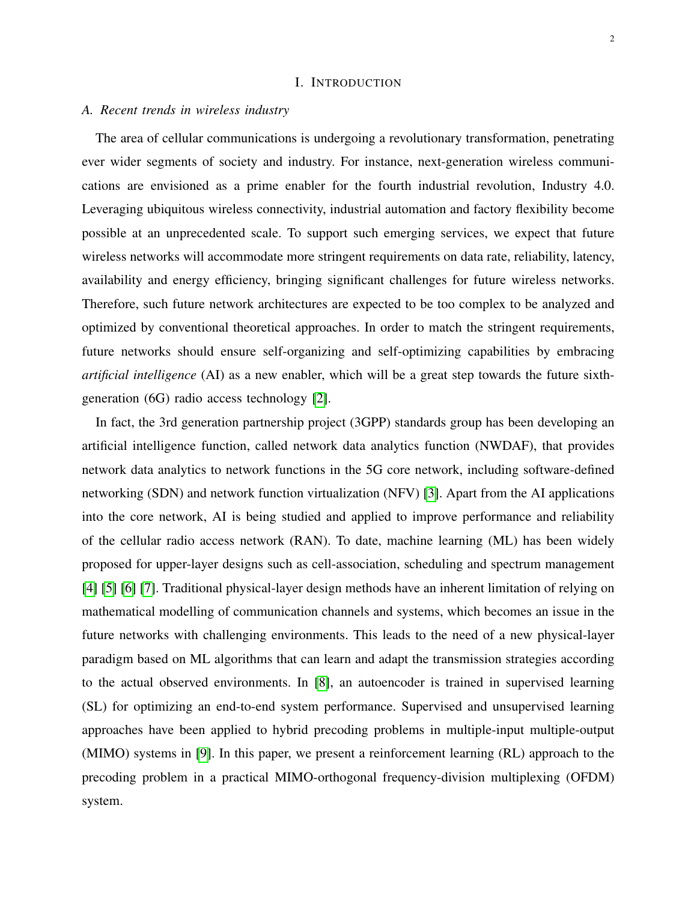## I. INTRODUCTION

## *A. Recent trends in wireless industry*

The area of cellular communications is undergoing a revolutionary transformation, penetrating ever wider segments of society and industry. For instance, next-generation wireless communications are envisioned as a prime enabler for the fourth industrial revolution, Industry 4.0. Leveraging ubiquitous wireless connectivity, industrial automation and factory flexibility become possible at an unprecedented scale. To support such emerging services, we expect that future wireless networks will accommodate more stringent requirements on data rate, reliability, latency, availability and energy efficiency, bringing significant challenges for future wireless networks. Therefore, such future network architectures are expected to be too complex to be analyzed and optimized by conventional theoretical approaches. In order to match the stringent requirements, future networks should ensure self-organizing and self-optimizing capabilities by embracing *artificial intelligence* (AI) as a new enabler, which will be a great step towards the future sixthgeneration (6G) radio access technology [\[2\]](#page-28-1).

In fact, the 3rd generation partnership project (3GPP) standards group has been developing an artificial intelligence function, called network data analytics function (NWDAF), that provides network data analytics to network functions in the 5G core network, including software-defined networking (SDN) and network function virtualization (NFV) [\[3\]](#page-28-2). Apart from the AI applications into the core network, AI is being studied and applied to improve performance and reliability of the cellular radio access network (RAN). To date, machine learning (ML) has been widely proposed for upper-layer designs such as cell-association, scheduling and spectrum management [\[4\]](#page-28-3) [\[5\]](#page-28-4) [\[6\]](#page-28-5) [\[7\]](#page-28-6). Traditional physical-layer design methods have an inherent limitation of relying on mathematical modelling of communication channels and systems, which becomes an issue in the future networks with challenging environments. This leads to the need of a new physical-layer paradigm based on ML algorithms that can learn and adapt the transmission strategies according to the actual observed environments. In [\[8\]](#page-28-7), an autoencoder is trained in supervised learning (SL) for optimizing an end-to-end system performance. Supervised and unsupervised learning approaches have been applied to hybrid precoding problems in multiple-input multiple-output (MIMO) systems in [\[9\]](#page-28-8). In this paper, we present a reinforcement learning (RL) approach to the precoding problem in a practical MIMO-orthogonal frequency-division multiplexing (OFDM) system.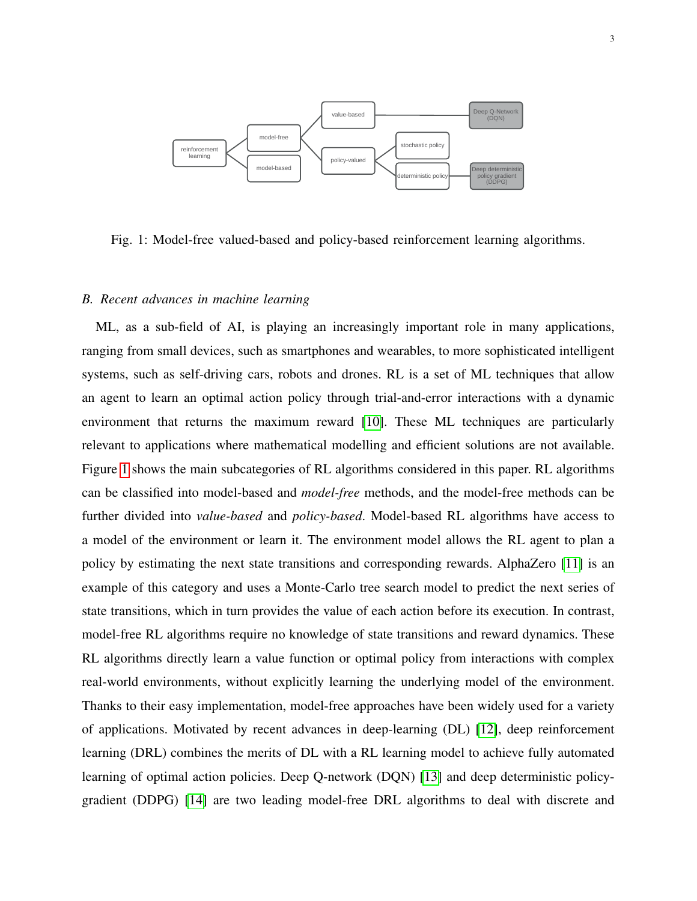<span id="page-2-0"></span>

Fig. 1: Model-free valued-based and policy-based reinforcement learning algorithms.

#### *B. Recent advances in machine learning*

ML, as a sub-field of AI, is playing an increasingly important role in many applications, ranging from small devices, such as smartphones and wearables, to more sophisticated intelligent systems, such as self-driving cars, robots and drones. RL is a set of ML techniques that allow an agent to learn an optimal action policy through trial-and-error interactions with a dynamic environment that returns the maximum reward [\[10\]](#page-28-9). These ML techniques are particularly relevant to applications where mathematical modelling and efficient solutions are not available. Figure [1](#page-2-0) shows the main subcategories of RL algorithms considered in this paper. RL algorithms can be classified into model-based and *model-free* methods, and the model-free methods can be further divided into *value-based* and *policy-based*. Model-based RL algorithms have access to a model of the environment or learn it. The environment model allows the RL agent to plan a policy by estimating the next state transitions and corresponding rewards. AlphaZero [\[11\]](#page-28-10) is an example of this category and uses a Monte-Carlo tree search model to predict the next series of state transitions, which in turn provides the value of each action before its execution. In contrast, model-free RL algorithms require no knowledge of state transitions and reward dynamics. These RL algorithms directly learn a value function or optimal policy from interactions with complex real-world environments, without explicitly learning the underlying model of the environment. Thanks to their easy implementation, model-free approaches have been widely used for a variety of applications. Motivated by recent advances in deep-learning (DL) [\[12\]](#page-28-11), deep reinforcement learning (DRL) combines the merits of DL with a RL learning model to achieve fully automated learning of optimal action policies. Deep Q-network (DQN) [\[13\]](#page-29-0) and deep deterministic policygradient (DDPG) [\[14\]](#page-29-1) are two leading model-free DRL algorithms to deal with discrete and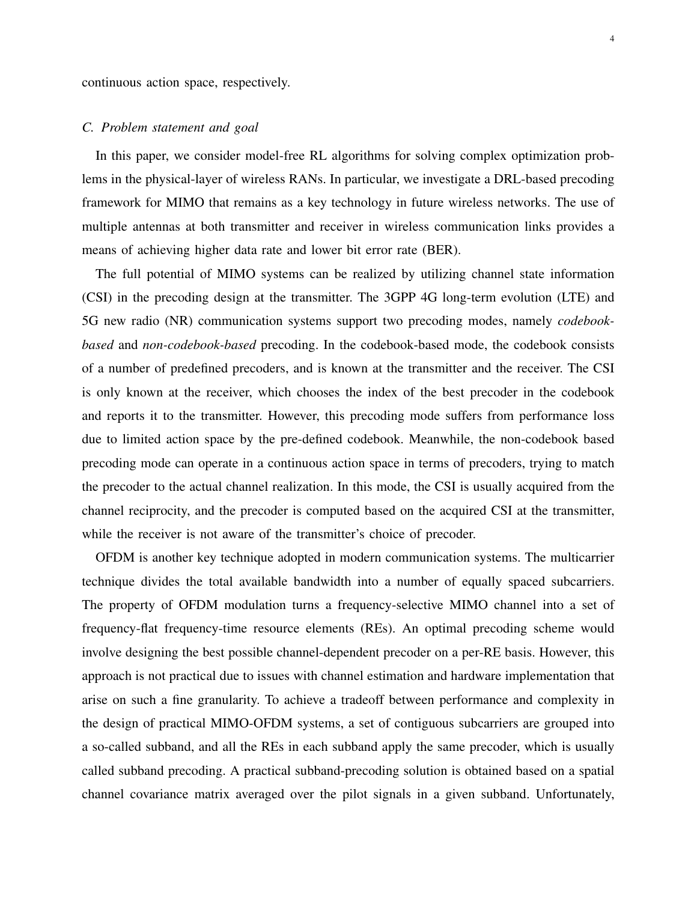continuous action space, respectively.

## *C. Problem statement and goal*

In this paper, we consider model-free RL algorithms for solving complex optimization problems in the physical-layer of wireless RANs. In particular, we investigate a DRL-based precoding framework for MIMO that remains as a key technology in future wireless networks. The use of multiple antennas at both transmitter and receiver in wireless communication links provides a means of achieving higher data rate and lower bit error rate (BER).

The full potential of MIMO systems can be realized by utilizing channel state information (CSI) in the precoding design at the transmitter. The 3GPP 4G long-term evolution (LTE) and 5G new radio (NR) communication systems support two precoding modes, namely *codebookbased* and *non-codebook-based* precoding. In the codebook-based mode, the codebook consists of a number of predefined precoders, and is known at the transmitter and the receiver. The CSI is only known at the receiver, which chooses the index of the best precoder in the codebook and reports it to the transmitter. However, this precoding mode suffers from performance loss due to limited action space by the pre-defined codebook. Meanwhile, the non-codebook based precoding mode can operate in a continuous action space in terms of precoders, trying to match the precoder to the actual channel realization. In this mode, the CSI is usually acquired from the channel reciprocity, and the precoder is computed based on the acquired CSI at the transmitter, while the receiver is not aware of the transmitter's choice of precoder.

OFDM is another key technique adopted in modern communication systems. The multicarrier technique divides the total available bandwidth into a number of equally spaced subcarriers. The property of OFDM modulation turns a frequency-selective MIMO channel into a set of frequency-flat frequency-time resource elements (REs). An optimal precoding scheme would involve designing the best possible channel-dependent precoder on a per-RE basis. However, this approach is not practical due to issues with channel estimation and hardware implementation that arise on such a fine granularity. To achieve a tradeoff between performance and complexity in the design of practical MIMO-OFDM systems, a set of contiguous subcarriers are grouped into a so-called subband, and all the REs in each subband apply the same precoder, which is usually called subband precoding. A practical subband-precoding solution is obtained based on a spatial channel covariance matrix averaged over the pilot signals in a given subband. Unfortunately,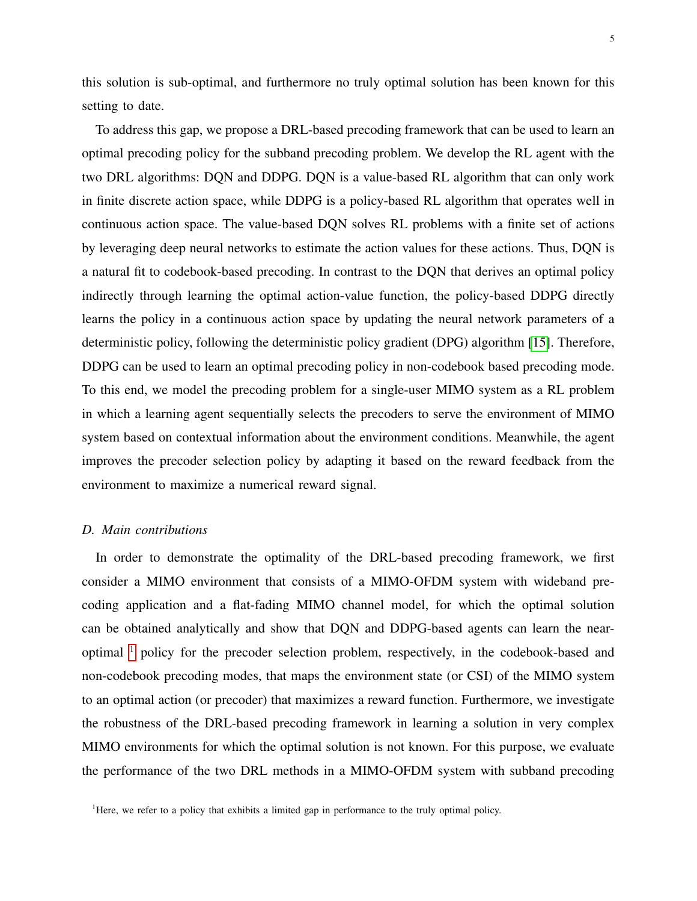this solution is sub-optimal, and furthermore no truly optimal solution has been known for this setting to date.

To address this gap, we propose a DRL-based precoding framework that can be used to learn an optimal precoding policy for the subband precoding problem. We develop the RL agent with the two DRL algorithms: DQN and DDPG. DQN is a value-based RL algorithm that can only work in finite discrete action space, while DDPG is a policy-based RL algorithm that operates well in continuous action space. The value-based DQN solves RL problems with a finite set of actions by leveraging deep neural networks to estimate the action values for these actions. Thus, DQN is a natural fit to codebook-based precoding. In contrast to the DQN that derives an optimal policy indirectly through learning the optimal action-value function, the policy-based DDPG directly learns the policy in a continuous action space by updating the neural network parameters of a deterministic policy, following the deterministic policy gradient (DPG) algorithm [\[15\]](#page-29-2). Therefore, DDPG can be used to learn an optimal precoding policy in non-codebook based precoding mode. To this end, we model the precoding problem for a single-user MIMO system as a RL problem in which a learning agent sequentially selects the precoders to serve the environment of MIMO system based on contextual information about the environment conditions. Meanwhile, the agent improves the precoder selection policy by adapting it based on the reward feedback from the environment to maximize a numerical reward signal.

#### *D. Main contributions*

In order to demonstrate the optimality of the DRL-based precoding framework, we first consider a MIMO environment that consists of a MIMO-OFDM system with wideband precoding application and a flat-fading MIMO channel model, for which the optimal solution can be obtained analytically and show that DQN and DDPG-based agents can learn the nearoptimal [1](#page-4-0) policy for the precoder selection problem, respectively, in the codebook-based and non-codebook precoding modes, that maps the environment state (or CSI) of the MIMO system to an optimal action (or precoder) that maximizes a reward function. Furthermore, we investigate the robustness of the DRL-based precoding framework in learning a solution in very complex MIMO environments for which the optimal solution is not known. For this purpose, we evaluate the performance of the two DRL methods in a MIMO-OFDM system with subband precoding

<span id="page-4-0"></span><sup>&</sup>lt;sup>1</sup>Here, we refer to a policy that exhibits a limited gap in performance to the truly optimal policy.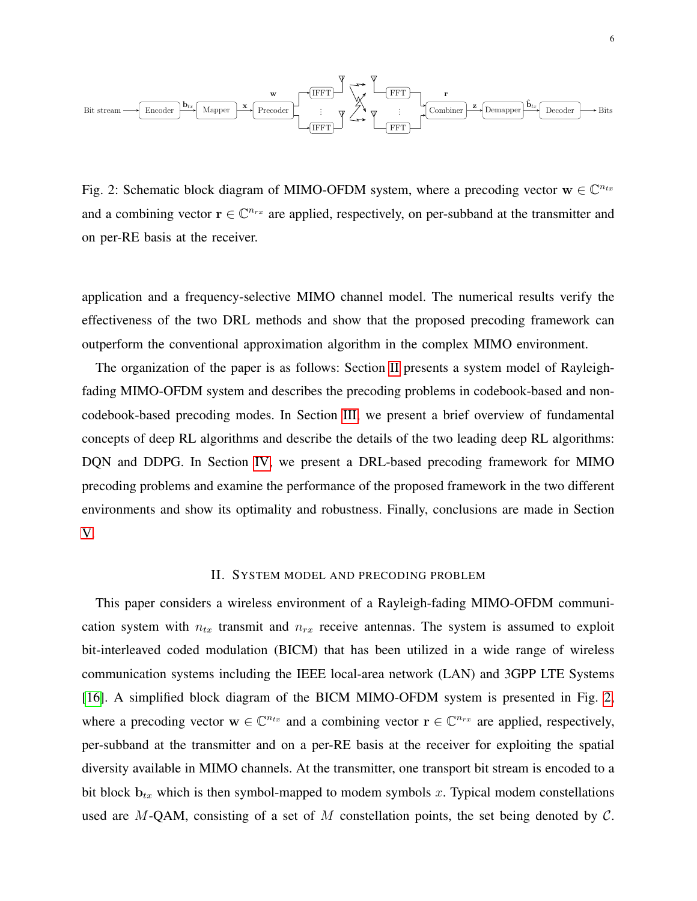<span id="page-5-1"></span>

Fig. 2: Schematic block diagram of MIMO-OFDM system, where a precoding vector  $\mathbf{w} \in \mathbb{C}^{n_{tx}}$ and a combining vector  $r \in \mathbb{C}^{n_{rx}}$  are applied, respectively, on per-subband at the transmitter and on per-RE basis at the receiver.

application and a frequency-selective MIMO channel model. The numerical results verify the effectiveness of the two DRL methods and show that the proposed precoding framework can outperform the conventional approximation algorithm in the complex MIMO environment.

The organization of the paper is as follows: Section [II](#page-5-0) presents a system model of Rayleighfading MIMO-OFDM system and describes the precoding problems in codebook-based and noncodebook-based precoding modes. In Section [III,](#page-9-0) we present a brief overview of fundamental concepts of deep RL algorithms and describe the details of the two leading deep RL algorithms: DQN and DDPG. In Section [IV,](#page-16-0) we present a DRL-based precoding framework for MIMO precoding problems and examine the performance of the proposed framework in the two different environments and show its optimality and robustness. Finally, conclusions are made in Section [V.](#page-27-0)

## II. SYSTEM MODEL AND PRECODING PROBLEM

<span id="page-5-0"></span>This paper considers a wireless environment of a Rayleigh-fading MIMO-OFDM communication system with  $n_{tx}$  transmit and  $n_{rx}$  receive antennas. The system is assumed to exploit bit-interleaved coded modulation (BICM) that has been utilized in a wide range of wireless communication systems including the IEEE local-area network (LAN) and 3GPP LTE Systems [\[16\]](#page-29-3). A simplified block diagram of the BICM MIMO-OFDM system is presented in Fig. [2,](#page-5-1) where a precoding vector  $\mathbf{w} \in \mathbb{C}^{n_{tx}}$  and a combining vector  $\mathbf{r} \in \mathbb{C}^{n_{rx}}$  are applied, respectively, per-subband at the transmitter and on a per-RE basis at the receiver for exploiting the spatial diversity available in MIMO channels. At the transmitter, one transport bit stream is encoded to a bit block  $\mathbf{b}_{tx}$  which is then symbol-mapped to modem symbols x. Typical modem constellations used are  $M$ -QAM, consisting of a set of  $M$  constellation points, the set being denoted by  $C$ .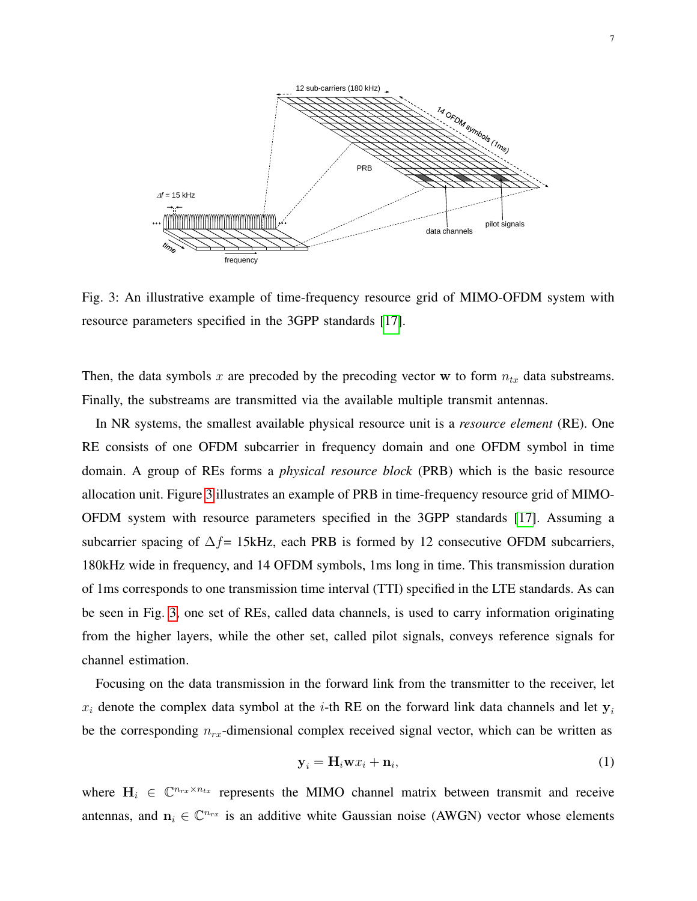<span id="page-6-0"></span>

Fig. 3: An illustrative example of time-frequency resource grid of MIMO-OFDM system with resource parameters specified in the 3GPP standards [\[17\]](#page-29-4).

Then, the data symbols x are precoded by the precoding vector w to form  $n_{tx}$  data substreams. Finally, the substreams are transmitted via the available multiple transmit antennas.

In NR systems, the smallest available physical resource unit is a *resource element* (RE). One RE consists of one OFDM subcarrier in frequency domain and one OFDM symbol in time domain. A group of REs forms a *physical resource block* (PRB) which is the basic resource allocation unit. Figure [3](#page-6-0) illustrates an example of PRB in time-frequency resource grid of MIMO-OFDM system with resource parameters specified in the 3GPP standards [\[17\]](#page-29-4). Assuming a subcarrier spacing of  $\Delta f$ = 15kHz, each PRB is formed by 12 consecutive OFDM subcarriers, 180kHz wide in frequency, and 14 OFDM symbols, 1ms long in time. This transmission duration of 1ms corresponds to one transmission time interval (TTI) specified in the LTE standards. As can be seen in Fig. [3,](#page-6-0) one set of REs, called data channels, is used to carry information originating from the higher layers, while the other set, called pilot signals, conveys reference signals for channel estimation.

Focusing on the data transmission in the forward link from the transmitter to the receiver, let  $x_i$  denote the complex data symbol at the *i*-th RE on the forward link data channels and let  $y_i$ be the corresponding  $n_{rx}$ -dimensional complex received signal vector, which can be written as

$$
\mathbf{y}_i = \mathbf{H}_i \mathbf{w} x_i + \mathbf{n}_i,\tag{1}
$$

where  $H_i \in \mathbb{C}^{n_{rx} \times n_{tx}}$  represents the MIMO channel matrix between transmit and receive antennas, and  $n_i \in \mathbb{C}^{n_{rx}}$  is an additive white Gaussian noise (AWGN) vector whose elements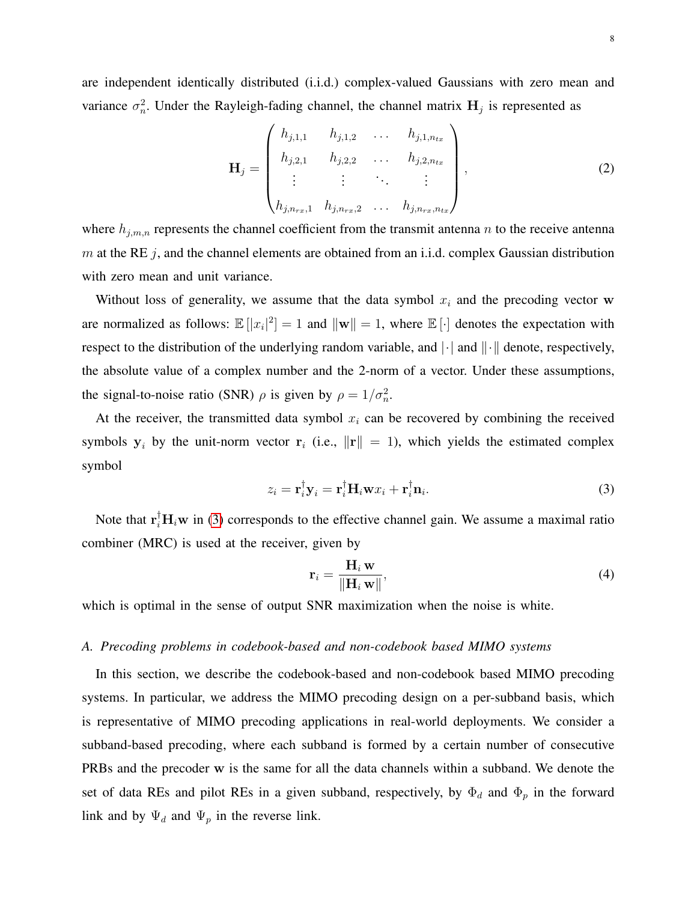are independent identically distributed (i.i.d.) complex-valued Gaussians with zero mean and variance  $\sigma_n^2$ . Under the Rayleigh-fading channel, the channel matrix  $H_j$  is represented as

$$
\mathbf{H}_{j} = \begin{pmatrix} h_{j,1,1} & h_{j,1,2} & \dots & h_{j,1,n_{tx}} \\ h_{j,2,1} & h_{j,2,2} & \dots & h_{j,2,n_{tx}} \\ \vdots & \vdots & \ddots & \vdots \\ h_{j,n_{rx},1} & h_{j,n_{rx},2} & \dots & h_{j,n_{rx},n_{tx}} \end{pmatrix},
$$
(2)

where  $h_{j,m,n}$  represents the channel coefficient from the transmit antenna n to the receive antenna m at the RE  $j$ , and the channel elements are obtained from an i.i.d. complex Gaussian distribution with zero mean and unit variance.

Without loss of generality, we assume that the data symbol  $x_i$  and the precoding vector w are normalized as follows:  $\mathbb{E}[|x_i|^2] = 1$  and  $\|\mathbf{w}\| = 1$ , where  $\mathbb{E}[\cdot]$  denotes the expectation with respect to the distribution of the underlying random variable, and  $\|\cdot\|$  and  $\|\cdot\|$  denote, respectively, the absolute value of a complex number and the 2-norm of a vector. Under these assumptions, the signal-to-noise ratio (SNR)  $\rho$  is given by  $\rho = 1/\sigma_n^2$ .

At the receiver, the transmitted data symbol  $x_i$  can be recovered by combining the received symbols  $y_i$  by the unit-norm vector  $r_i$  (i.e.,  $||r|| = 1$ ), which yields the estimated complex symbol

<span id="page-7-0"></span>
$$
z_i = \mathbf{r}_i^{\dagger} \mathbf{y}_i = \mathbf{r}_i^{\dagger} \mathbf{H}_i \mathbf{w} x_i + \mathbf{r}_i^{\dagger} \mathbf{n}_i.
$$
 (3)

Note that  $\mathbf{r}_i^{\dagger} \mathbf{H}_i \mathbf{w}$  in [\(3\)](#page-7-0) corresponds to the effective channel gain. We assume a maximal ratio combiner (MRC) is used at the receiver, given by

$$
\mathbf{r}_{i} = \frac{\mathbf{H}_{i} \mathbf{w}}{\|\mathbf{H}_{i} \mathbf{w}\|},
$$
(4)

which is optimal in the sense of output SNR maximization when the noise is white.

## *A. Precoding problems in codebook-based and non-codebook based MIMO systems*

In this section, we describe the codebook-based and non-codebook based MIMO precoding systems. In particular, we address the MIMO precoding design on a per-subband basis, which is representative of MIMO precoding applications in real-world deployments. We consider a subband-based precoding, where each subband is formed by a certain number of consecutive PRBs and the precoder w is the same for all the data channels within a subband. We denote the set of data REs and pilot REs in a given subband, respectively, by  $\Phi_d$  and  $\Phi_p$  in the forward link and by  $\Psi_d$  and  $\Psi_p$  in the reverse link.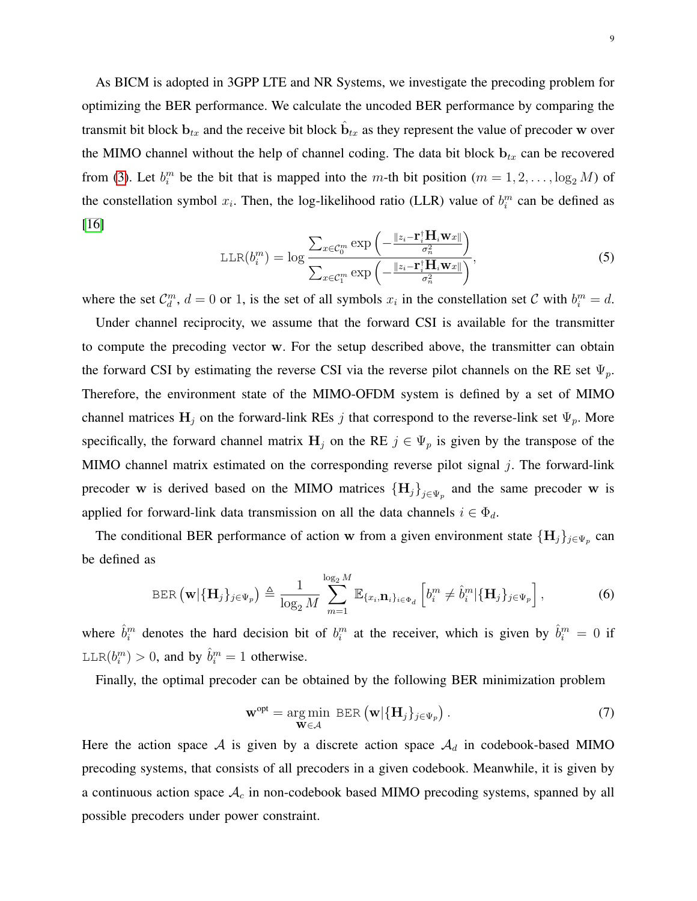As BICM is adopted in 3GPP LTE and NR Systems, we investigate the precoding problem for optimizing the BER performance. We calculate the uncoded BER performance by comparing the transmit bit block  $\mathbf{b}_{tx}$  and the receive bit block  $\hat{\mathbf{b}}_{tx}$  as they represent the value of precoder w over the MIMO channel without the help of channel coding. The data bit block  $b_{tx}$  can be recovered from [\(3\)](#page-7-0). Let  $b_i^m$  be the bit that is mapped into the m-th bit position  $(m = 1, 2, \ldots, \log_2 M)$  of the constellation symbol  $x_i$ . Then, the log-likelihood ratio (LLR) value of  $b_i^m$  can be defined as [\[16\]](#page-29-3)

$$
\text{LLR}(b_i^m) = \log \frac{\sum_{x \in \mathcal{C}_0^m} \exp \left(-\frac{\|z_i - \mathbf{r}_i^{\dagger} \mathbf{H}_i \mathbf{w}_x\|}{\sigma_n^2}\right)}{\sum_{x \in \mathcal{C}_1^m} \exp \left(-\frac{\|z_i - \mathbf{r}_i^{\dagger} \mathbf{H}_i \mathbf{w}_x\|}{\sigma_n^2}\right)},\tag{5}
$$

where the set  $\mathcal{C}_d^m$ ,  $d = 0$  or 1, is the set of all symbols  $x_i$  in the constellation set C with  $b_i^m = d$ .

Under channel reciprocity, we assume that the forward CSI is available for the transmitter to compute the precoding vector w. For the setup described above, the transmitter can obtain the forward CSI by estimating the reverse CSI via the reverse pilot channels on the RE set  $\Psi_p$ . Therefore, the environment state of the MIMO-OFDM system is defined by a set of MIMO channel matrices  $H_j$  on the forward-link REs j that correspond to the reverse-link set  $\Psi_p$ . More specifically, the forward channel matrix  $H_j$  on the RE  $j \in \Psi_p$  is given by the transpose of the MIMO channel matrix estimated on the corresponding reverse pilot signal  $j$ . The forward-link precoder w is derived based on the MIMO matrices  ${H_j}_{j \in \Psi_p}$  and the same precoder w is applied for forward-link data transmission on all the data channels  $i \in \Phi_d$ .

The conditional BER performance of action w from a given environment state  $\{\mathbf{H}_j\}_{j\in \Psi_p}$  can be defined as

$$
\text{BER}\left(\mathbf{w}|\{\mathbf{H}_j\}_{j\in\Psi_p}\right) \triangleq \frac{1}{\log_2 M} \sum_{m=1}^{\log_2 M} \mathbb{E}_{\{x_i, \mathbf{n}_i\}_{i\in\Psi_d}}\left[b_i^m \neq \hat{b}_i^m|\{\mathbf{H}_j\}_{j\in\Psi_p}\right],\tag{6}
$$

where  $\hat{b}_i^m$  denotes the hard decision bit of  $b_i^m$  at the receiver, which is given by  $\hat{b}_i^m = 0$  if  $LLR(b_i^m) > 0$ , and by  $\hat{b}_i^m = 1$  otherwise.

Finally, the optimal precoder can be obtained by the following BER minimization problem

<span id="page-8-0"></span>
$$
\mathbf{w}^{\text{opt}} = \underset{\mathbf{W} \in \mathcal{A}}{\arg \min} \ \text{BER}\left(\mathbf{w}|\{\mathbf{H}_j\}_{j \in \Psi_p}\right). \tag{7}
$$

Here the action space  $A$  is given by a discrete action space  $A_d$  in codebook-based MIMO precoding systems, that consists of all precoders in a given codebook. Meanwhile, it is given by a continuous action space  $A_c$  in non-codebook based MIMO precoding systems, spanned by all possible precoders under power constraint.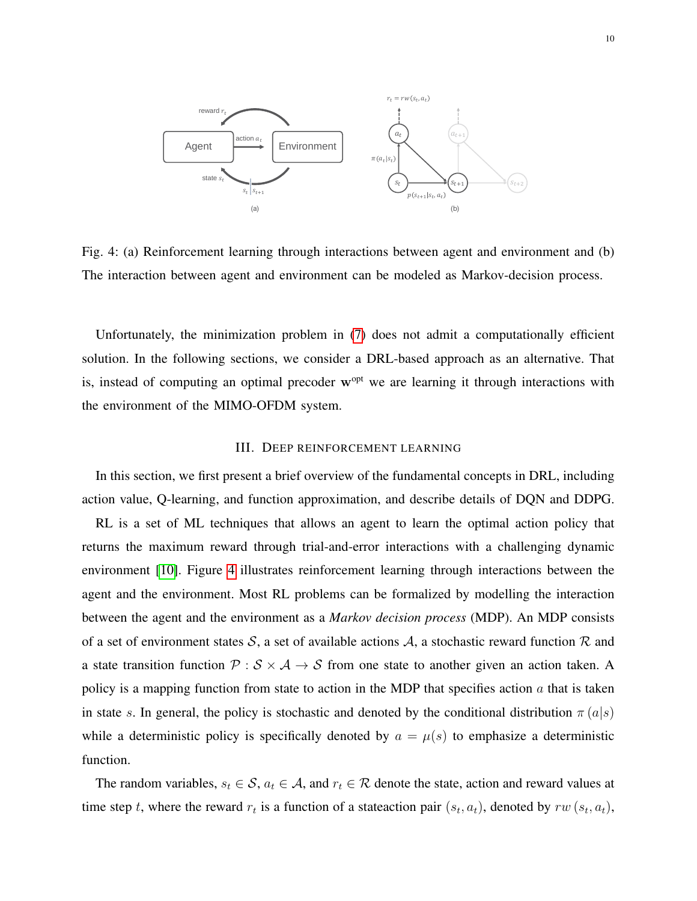<span id="page-9-1"></span>

Fig. 4: (a) Reinforcement learning through interactions between agent and environment and (b) The interaction between agent and environment can be modeled as Markov-decision process.

Unfortunately, the minimization problem in [\(7\)](#page-8-0) does not admit a computationally efficient solution. In the following sections, we consider a DRL-based approach as an alternative. That is, instead of computing an optimal precoder  $w<sup>opt</sup>$  we are learning it through interactions with the environment of the MIMO-OFDM system.

## III. DEEP REINFORCEMENT LEARNING

<span id="page-9-0"></span>In this section, we first present a brief overview of the fundamental concepts in DRL, including action value, Q-learning, and function approximation, and describe details of DQN and DDPG.

RL is a set of ML techniques that allows an agent to learn the optimal action policy that returns the maximum reward through trial-and-error interactions with a challenging dynamic environment [\[10\]](#page-28-9). Figure [4](#page-9-1) illustrates reinforcement learning through interactions between the agent and the environment. Most RL problems can be formalized by modelling the interaction between the agent and the environment as a *Markov decision process* (MDP). An MDP consists of a set of environment states S, a set of available actions A, a stochastic reward function R and a state transition function  $P : S \times A \rightarrow S$  from one state to another given an action taken. A policy is a mapping function from state to action in the MDP that specifies action  $a$  that is taken in state s. In general, the policy is stochastic and denoted by the conditional distribution  $\pi(a|s)$ while a deterministic policy is specifically denoted by  $a = \mu(s)$  to emphasize a deterministic function.

The random variables,  $s_t \in \mathcal{S}$ ,  $a_t \in \mathcal{A}$ , and  $r_t \in \mathcal{R}$  denote the state, action and reward values at time step t, where the reward  $r_t$  is a function of a stateaction pair  $(s_t, a_t)$ , denoted by  $rw(s_t, a_t)$ ,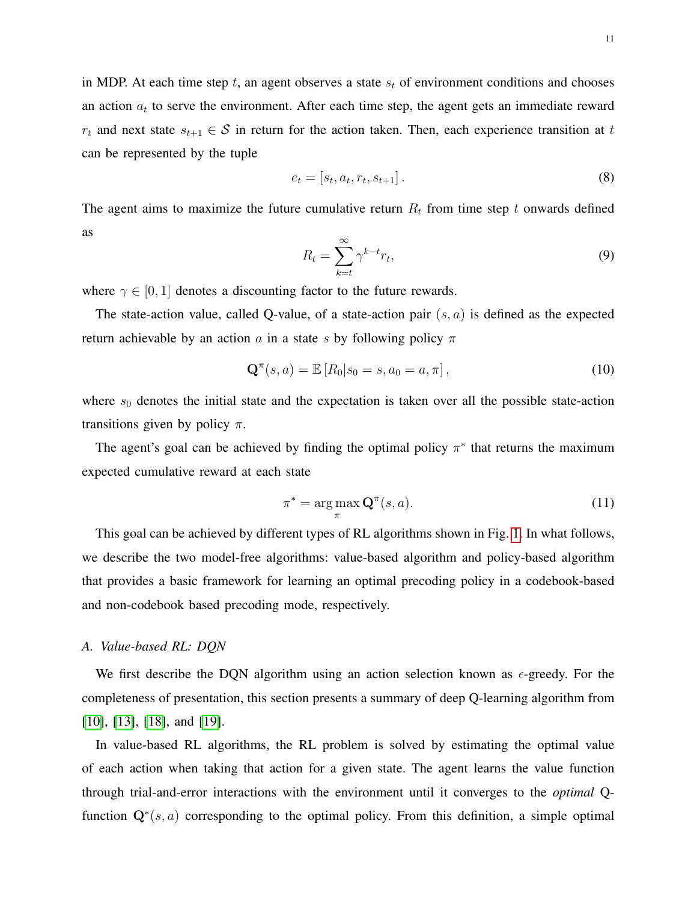in MDP. At each time step t, an agent observes a state  $s_t$  of environment conditions and chooses an action  $a_t$  to serve the environment. After each time step, the agent gets an immediate reward  $r_t$  and next state  $s_{t+1} \in S$  in return for the action taken. Then, each experience transition at t can be represented by the tuple

$$
e_t = [s_t, a_t, r_t, s_{t+1}].
$$
\n(8)

The agent aims to maximize the future cumulative return  $R_t$  from time step t onwards defined as

$$
R_t = \sum_{k=t}^{\infty} \gamma^{k-t} r_t,
$$
\n(9)

where  $\gamma \in [0, 1]$  denotes a discounting factor to the future rewards.

The state-action value, called Q-value, of a state-action pair  $(s, a)$  is defined as the expected return achievable by an action a in a state s by following policy  $\pi$ 

$$
\mathbf{Q}^{\pi}(s, a) = \mathbb{E}\left[R_0 | s_0 = s, a_0 = a, \pi\right],\tag{10}
$$

where  $s_0$  denotes the initial state and the expectation is taken over all the possible state-action transitions given by policy  $\pi$ .

The agent's goal can be achieved by finding the optimal policy  $\pi^*$  that returns the maximum expected cumulative reward at each state

$$
\pi^* = \arg\max_{\pi} \mathbf{Q}^{\pi}(s, a). \tag{11}
$$

This goal can be achieved by different types of RL algorithms shown in Fig. [1.](#page-2-0) In what follows, we describe the two model-free algorithms: value-based algorithm and policy-based algorithm that provides a basic framework for learning an optimal precoding policy in a codebook-based and non-codebook based precoding mode, respectively.

## *A. Value-based RL: DQN*

We first describe the DQN algorithm using an action selection known as  $\epsilon$ -greedy. For the completeness of presentation, this section presents a summary of deep Q-learning algorithm from [\[10\]](#page-28-9), [\[13\]](#page-29-0), [\[18\]](#page-29-5), and [\[19\]](#page-29-6).

In value-based RL algorithms, the RL problem is solved by estimating the optimal value of each action when taking that action for a given state. The agent learns the value function through trial-and-error interactions with the environment until it converges to the *optimal* Qfunction  $\mathbf{Q}^{*}(s, a)$  corresponding to the optimal policy. From this definition, a simple optimal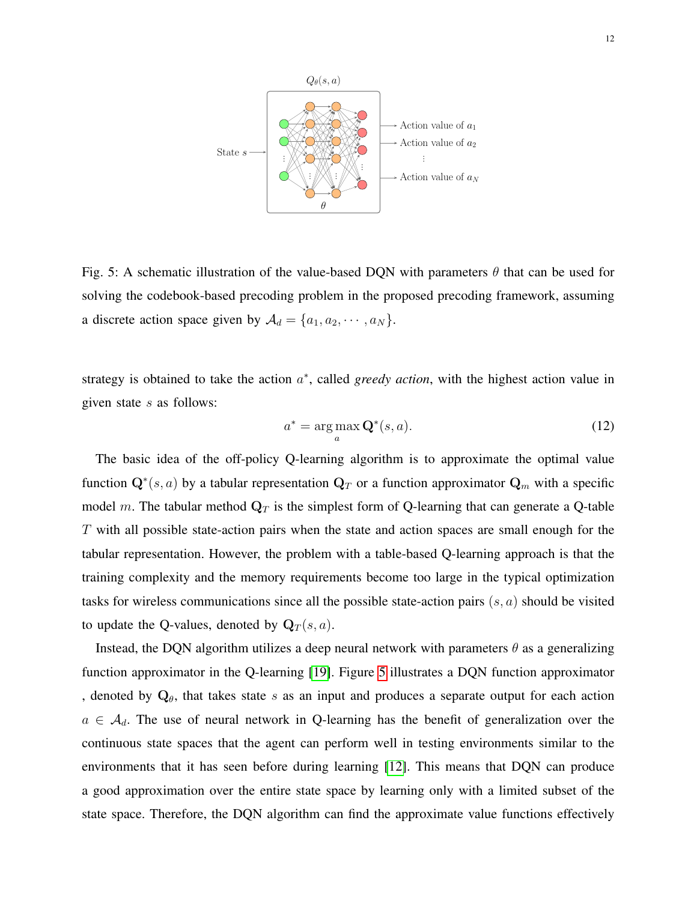<span id="page-11-0"></span>

Fig. 5: A schematic illustration of the value-based DQN with parameters  $\theta$  that can be used for solving the codebook-based precoding problem in the proposed precoding framework, assuming a discrete action space given by  $A_d = \{a_1, a_2, \cdots, a_N\}.$ 

strategy is obtained to take the action  $a^*$ , called *greedy action*, with the highest action value in given state s as follows:

<span id="page-11-1"></span>
$$
a^* = \underset{a}{\arg\max} \mathbf{Q}^*(s, a). \tag{12}
$$

The basic idea of the off-policy Q-learning algorithm is to approximate the optimal value function  $\mathbf{Q}^{*}(s, a)$  by a tabular representation  $\mathbf{Q}_T$  or a function approximator  $\mathbf{Q}_m$  with a specific model m. The tabular method  $\mathbf{Q}_T$  is the simplest form of Q-learning that can generate a Q-table T with all possible state-action pairs when the state and action spaces are small enough for the tabular representation. However, the problem with a table-based Q-learning approach is that the training complexity and the memory requirements become too large in the typical optimization tasks for wireless communications since all the possible state-action pairs  $(s, a)$  should be visited to update the Q-values, denoted by  $\mathbf{Q}_T(s, a)$ .

Instead, the DQN algorithm utilizes a deep neural network with parameters  $\theta$  as a generalizing function approximator in the Q-learning [\[19\]](#page-29-6). Figure [5](#page-11-0) illustrates a DQN function approximator , denoted by  $Q_{\theta}$ , that takes state s as an input and produces a separate output for each action  $a \in \mathcal{A}_d$ . The use of neural network in Q-learning has the benefit of generalization over the continuous state spaces that the agent can perform well in testing environments similar to the environments that it has seen before during learning [\[12\]](#page-28-11). This means that DQN can produce a good approximation over the entire state space by learning only with a limited subset of the state space. Therefore, the DQN algorithm can find the approximate value functions effectively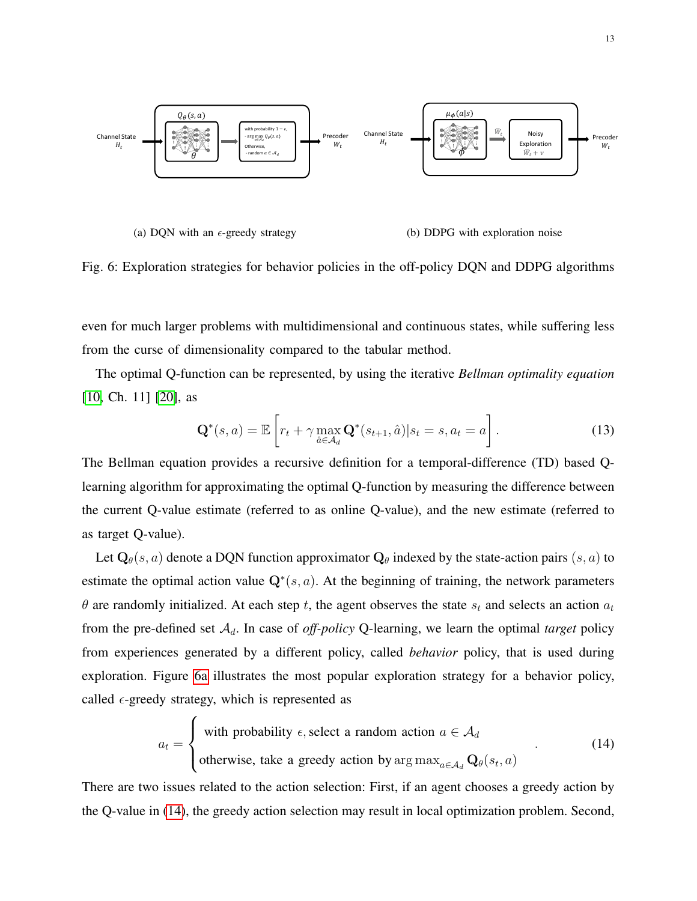<span id="page-12-0"></span>

(a) DQN with an  $\epsilon$ -greedy strategy (b) DDPG with exploration noise

Fig. 6: Exploration strategies for behavior policies in the off-policy DQN and DDPG algorithms

even for much larger problems with multidimensional and continuous states, while suffering less from the curse of dimensionality compared to the tabular method.

The optimal Q-function can be represented, by using the iterative *Bellman optimality equation* [\[10,](#page-28-9) Ch. 11] [\[20\]](#page-29-7), as

<span id="page-12-2"></span>
$$
\mathbf{Q}^*(s, a) = \mathbb{E}\left[r_t + \gamma \max_{\hat{a} \in \mathcal{A}_d} \mathbf{Q}^*(s_{t+1}, \hat{a}) | s_t = s, a_t = a\right].
$$
 (13)

The Bellman equation provides a recursive definition for a temporal-difference (TD) based Qlearning algorithm for approximating the optimal Q-function by measuring the difference between the current Q-value estimate (referred to as online Q-value), and the new estimate (referred to as target Q-value).

Let  $\mathbf{Q}_{\theta}(s, a)$  denote a DQN function approximator  $\mathbf{Q}_{\theta}$  indexed by the state-action pairs  $(s, a)$  to estimate the optimal action value  $\mathbf{Q}^*(s, a)$ . At the beginning of training, the network parameters  $\theta$  are randomly initialized. At each step t, the agent observes the state  $s_t$  and selects an action  $a_t$ from the pre-defined set  $A_d$ . In case of *off-policy* Q-learning, we learn the optimal *target* policy from experiences generated by a different policy, called *behavior* policy, that is used during exploration. Figure [6a](#page-12-0) illustrates the most popular exploration strategy for a behavior policy, called  $\epsilon$ -greedy strategy, which is represented as

<span id="page-12-1"></span>
$$
a_t = \begin{cases} \text{with probability } \epsilon, \text{ select a random action } a \in \mathcal{A}_d \\ \text{otherwise, take a greedy action by arg max}_{a \in \mathcal{A}_d} \mathbf{Q}_{\theta}(s_t, a) \end{cases}
$$
(14)

There are two issues related to the action selection: First, if an agent chooses a greedy action by the Q-value in [\(14\)](#page-12-1), the greedy action selection may result in local optimization problem. Second,

 $\overline{ }$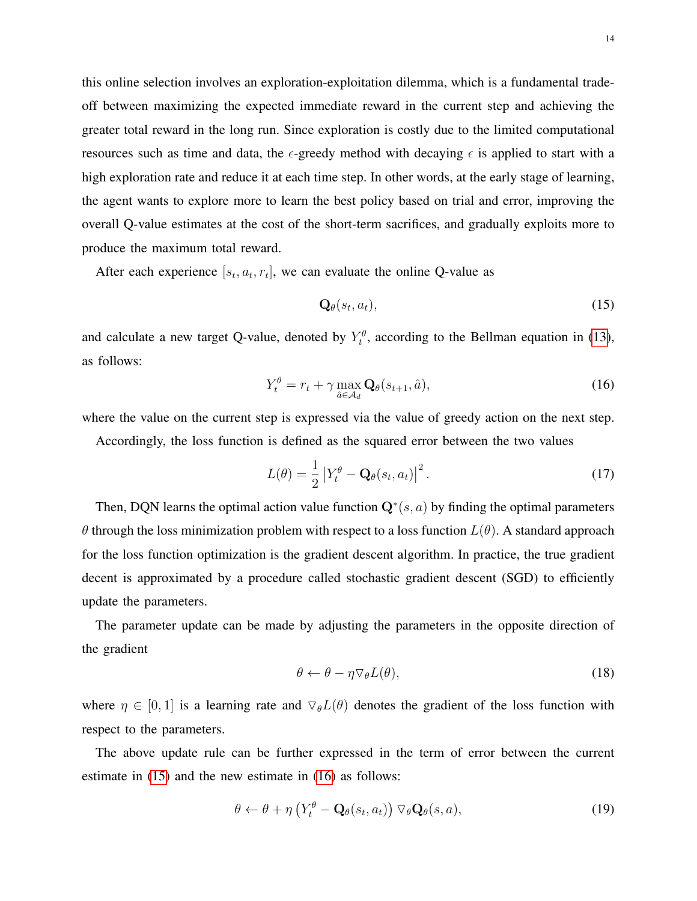this online selection involves an exploration-exploitation dilemma, which is a fundamental tradeoff between maximizing the expected immediate reward in the current step and achieving the greater total reward in the long run. Since exploration is costly due to the limited computational resources such as time and data, the  $\epsilon$ -greedy method with decaying  $\epsilon$  is applied to start with a high exploration rate and reduce it at each time step. In other words, at the early stage of learning, the agent wants to explore more to learn the best policy based on trial and error, improving the overall Q-value estimates at the cost of the short-term sacrifices, and gradually exploits more to produce the maximum total reward.

After each experience  $[s_t, a_t, r_t]$ , we can evaluate the online Q-value as

<span id="page-13-0"></span>
$$
\mathbf{Q}_{\theta}(s_t, a_t), \tag{15}
$$

and calculate a new target Q-value, denoted by  $Y_t^{\theta}$ , according to the Bellman equation in [\(13\)](#page-12-2), as follows:

<span id="page-13-1"></span>
$$
Y_t^{\theta} = r_t + \gamma \max_{\hat{a} \in \mathcal{A}_d} \mathbf{Q}_{\theta}(s_{t+1}, \hat{a}), \qquad (16)
$$

where the value on the current step is expressed via the value of greedy action on the next step.

Accordingly, the loss function is defined as the squared error between the two values

$$
L(\theta) = \frac{1}{2} \left| Y_t^{\theta} - \mathbf{Q}_{\theta}(s_t, a_t) \right|^2.
$$
 (17)

Then, DQN learns the optimal action value function  $\mathbf{Q}^*(s, a)$  by finding the optimal parameters θ through the loss minimization problem with respect to a loss function L(θ). A standard approach for the loss function optimization is the gradient descent algorithm. In practice, the true gradient decent is approximated by a procedure called stochastic gradient descent (SGD) to efficiently update the parameters.

The parameter update can be made by adjusting the parameters in the opposite direction of the gradient

$$
\theta \leftarrow \theta - \eta \nabla_{\theta} L(\theta), \tag{18}
$$

where  $\eta \in [0, 1]$  is a learning rate and  $\nabla_{\theta} L(\theta)$  denotes the gradient of the loss function with respect to the parameters.

The above update rule can be further expressed in the term of error between the current estimate in [\(15\)](#page-13-0) and the new estimate in [\(16\)](#page-13-1) as follows:

<span id="page-13-2"></span>
$$
\theta \leftarrow \theta + \eta \left( Y_t^{\theta} - \mathbf{Q}_{\theta}(s_t, a_t) \right) \nabla_{\theta} \mathbf{Q}_{\theta}(s, a), \tag{19}
$$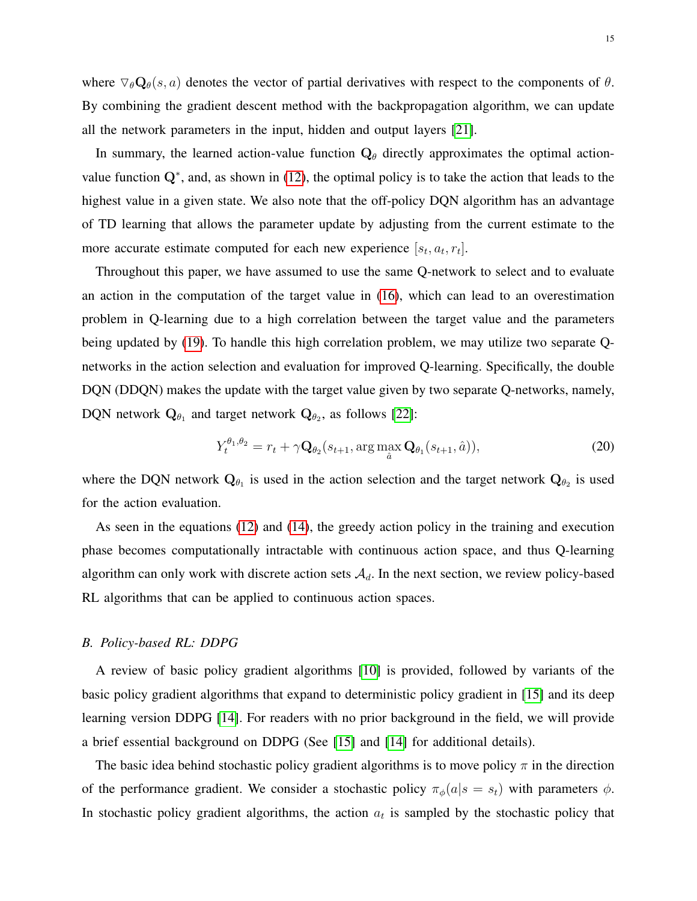In summary, the learned action-value function  $Q_{\theta}$  directly approximates the optimal actionvalue function  $Q^*$ , and, as shown in [\(12\)](#page-11-1), the optimal policy is to take the action that leads to the highest value in a given state. We also note that the off-policy DQN algorithm has an advantage of TD learning that allows the parameter update by adjusting from the current estimate to the more accurate estimate computed for each new experience  $[s_t, a_t, r_t]$ .

Throughout this paper, we have assumed to use the same Q-network to select and to evaluate an action in the computation of the target value in [\(16\)](#page-13-1), which can lead to an overestimation problem in Q-learning due to a high correlation between the target value and the parameters being updated by [\(19\)](#page-13-2). To handle this high correlation problem, we may utilize two separate Qnetworks in the action selection and evaluation for improved Q-learning. Specifically, the double DQN (DDQN) makes the update with the target value given by two separate Q-networks, namely, DQN network  $\mathbf{Q}_{\theta_1}$  and target network  $\mathbf{Q}_{\theta_2}$ , as follows [\[22\]](#page-29-9):

$$
Y_t^{\theta_1, \theta_2} = r_t + \gamma \mathbf{Q}_{\theta_2}(s_{t+1}, \arg \max_{\hat{a}} \mathbf{Q}_{\theta_1}(s_{t+1}, \hat{a})), \tag{20}
$$

where the DQN network  $Q_{\theta_1}$  is used in the action selection and the target network  $Q_{\theta_2}$  is used for the action evaluation.

As seen in the equations [\(12\)](#page-11-1) and [\(14\)](#page-12-1), the greedy action policy in the training and execution phase becomes computationally intractable with continuous action space, and thus Q-learning algorithm can only work with discrete action sets  $A_d$ . In the next section, we review policy-based RL algorithms that can be applied to continuous action spaces.

#### *B. Policy-based RL: DDPG*

A review of basic policy gradient algorithms [\[10\]](#page-28-9) is provided, followed by variants of the basic policy gradient algorithms that expand to deterministic policy gradient in [\[15\]](#page-29-2) and its deep learning version DDPG [\[14\]](#page-29-1). For readers with no prior background in the field, we will provide a brief essential background on DDPG (See [\[15\]](#page-29-2) and [\[14\]](#page-29-1) for additional details).

The basic idea behind stochastic policy gradient algorithms is to move policy  $\pi$  in the direction of the performance gradient. We consider a stochastic policy  $\pi_{\phi}(a|s = s_t)$  with parameters  $\phi$ . In stochastic policy gradient algorithms, the action  $a_t$  is sampled by the stochastic policy that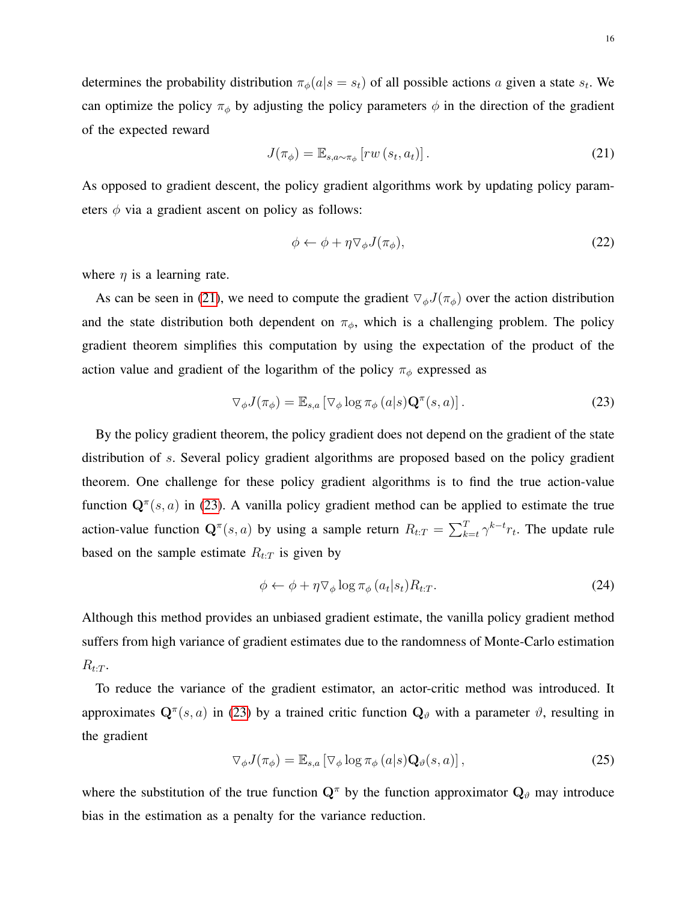determines the probability distribution  $\pi_{\phi}(a|s=s_t)$  of all possible actions a given a state  $s_t$ . We can optimize the policy  $\pi_{\phi}$  by adjusting the policy parameters  $\phi$  in the direction of the gradient of the expected reward

<span id="page-15-0"></span>
$$
J(\pi_{\phi}) = \mathbb{E}_{s, a \sim \pi_{\phi}} \left[ rw\left(s_t, a_t\right)\right].\tag{21}
$$

As opposed to gradient descent, the policy gradient algorithms work by updating policy parameters  $\phi$  via a gradient ascent on policy as follows:

$$
\phi \leftarrow \phi + \eta \nabla_{\phi} J(\pi_{\phi}), \tag{22}
$$

where  $\eta$  is a learning rate.

As can be seen in [\(21\)](#page-15-0), we need to compute the gradient  $\nabla_{\phi}J(\pi_{\phi})$  over the action distribution and the state distribution both dependent on  $\pi_{\phi}$ , which is a challenging problem. The policy gradient theorem simplifies this computation by using the expectation of the product of the action value and gradient of the logarithm of the policy  $\pi_{\phi}$  expressed as

<span id="page-15-1"></span>
$$
\nabla_{\phi} J(\pi_{\phi}) = \mathbb{E}_{s,a} \left[ \nabla_{\phi} \log \pi_{\phi}(a|s) \mathbf{Q}^{\pi}(s,a) \right]. \tag{23}
$$

By the policy gradient theorem, the policy gradient does not depend on the gradient of the state distribution of s. Several policy gradient algorithms are proposed based on the policy gradient theorem. One challenge for these policy gradient algorithms is to find the true action-value function  $\mathbf{Q}^{\pi}(s, a)$  in [\(23\)](#page-15-1). A vanilla policy gradient method can be applied to estimate the true action-value function  $\mathbf{Q}^{\pi}(s, a)$  by using a sample return  $R_{t:T} = \sum_{k=t}^{T} \gamma^{k-t} r_t$ . The update rule based on the sample estimate  $R_{t:T}$  is given by

$$
\phi \leftarrow \phi + \eta \nabla_{\phi} \log \pi_{\phi} (a_t | s_t) R_{t:T}.
$$
\n(24)

Although this method provides an unbiased gradient estimate, the vanilla policy gradient method suffers from high variance of gradient estimates due to the randomness of Monte-Carlo estimation  $R_{t:T}$ .

To reduce the variance of the gradient estimator, an actor-critic method was introduced. It approximates  $\mathbf{Q}^{\pi}(s, a)$  in [\(23\)](#page-15-1) by a trained critic function  $\mathbf{Q}_{\vartheta}$  with a parameter  $\vartheta$ , resulting in the gradient

<span id="page-15-2"></span>
$$
\nabla_{\phi} J(\pi_{\phi}) = \mathbb{E}_{s,a} \left[ \nabla_{\phi} \log \pi_{\phi}(a|s) \mathbf{Q}_{\theta}(s, a) \right],
$$
\n(25)

where the substitution of the true function  $Q^{\pi}$  by the function approximator  $Q_{\vartheta}$  may introduce bias in the estimation as a penalty for the variance reduction.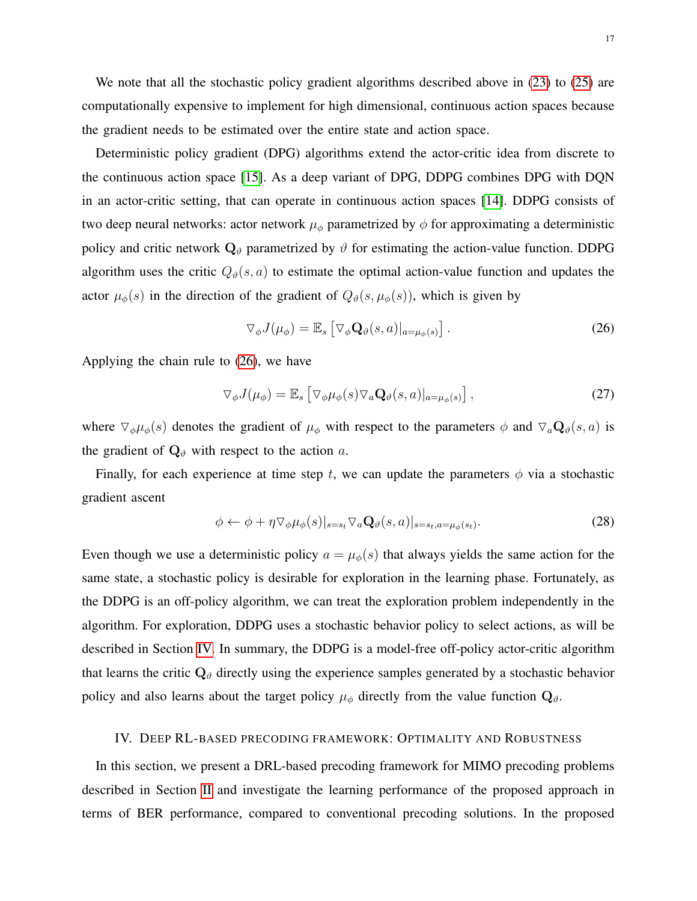We note that all the stochastic policy gradient algorithms described above in [\(23\)](#page-15-1) to [\(25\)](#page-15-2) are computationally expensive to implement for high dimensional, continuous action spaces because the gradient needs to be estimated over the entire state and action space.

Deterministic policy gradient (DPG) algorithms extend the actor-critic idea from discrete to the continuous action space [\[15\]](#page-29-2). As a deep variant of DPG, DDPG combines DPG with DQN in an actor-critic setting, that can operate in continuous action spaces [\[14\]](#page-29-1). DDPG consists of two deep neural networks: actor network  $\mu_{\phi}$  parametrized by  $\phi$  for approximating a deterministic policy and critic network  $\mathbf{Q}_{\vartheta}$  parametrized by  $\vartheta$  for estimating the action-value function. DDPG algorithm uses the critic  $Q_{\theta}(s, a)$  to estimate the optimal action-value function and updates the actor  $\mu_{\phi}(s)$  in the direction of the gradient of  $Q_{\theta}(s, \mu_{\phi}(s))$ , which is given by

<span id="page-16-1"></span>
$$
\nabla_{\phi} J(\mu_{\phi}) = \mathbb{E}_{s} \left[ \nabla_{\phi} \mathbf{Q}_{\theta}(s, a) |_{a = \mu_{\phi}(s)} \right]. \tag{26}
$$

Applying the chain rule to [\(26\)](#page-16-1), we have

$$
\nabla_{\phi} J(\mu_{\phi}) = \mathbb{E}_{s} \left[ \nabla_{\phi} \mu_{\phi}(s) \nabla_{a} \mathbf{Q}_{\theta}(s, a) \big|_{a = \mu_{\phi}(s)} \right],
$$
\n(27)

where  $\nabla_{\phi}\mu_{\phi}(s)$  denotes the gradient of  $\mu_{\phi}$  with respect to the parameters  $\phi$  and  $\nabla_{a}\mathbf{Q}_{\theta}(s, a)$  is the gradient of  $\mathbf{Q}_{\vartheta}$  with respect to the action a.

Finally, for each experience at time step t, we can update the parameters  $\phi$  via a stochastic gradient ascent

$$
\phi \leftarrow \phi + \eta \nabla_{\phi} \mu_{\phi}(s)|_{s=s_t} \nabla_a \mathbf{Q}_{\theta}(s, a)|_{s=s_t, a=\mu_{\phi}(s_t)}.
$$
\n(28)

Even though we use a deterministic policy  $a = \mu_{\phi}(s)$  that always yields the same action for the same state, a stochastic policy is desirable for exploration in the learning phase. Fortunately, as the DDPG is an off-policy algorithm, we can treat the exploration problem independently in the algorithm. For exploration, DDPG uses a stochastic behavior policy to select actions, as will be described in Section [IV.](#page-16-0) In summary, the DDPG is a model-free off-policy actor-critic algorithm that learns the critic  $Q_{\vartheta}$  directly using the experience samples generated by a stochastic behavior policy and also learns about the target policy  $\mu_{\phi}$  directly from the value function  $\mathbf{Q}_{\vartheta}$ .

## <span id="page-16-0"></span>IV. DEEP RL-BASED PRECODING FRAMEWORK: OPTIMALITY AND ROBUSTNESS

In this section, we present a DRL-based precoding framework for MIMO precoding problems described in Section [II](#page-5-0) and investigate the learning performance of the proposed approach in terms of BER performance, compared to conventional precoding solutions. In the proposed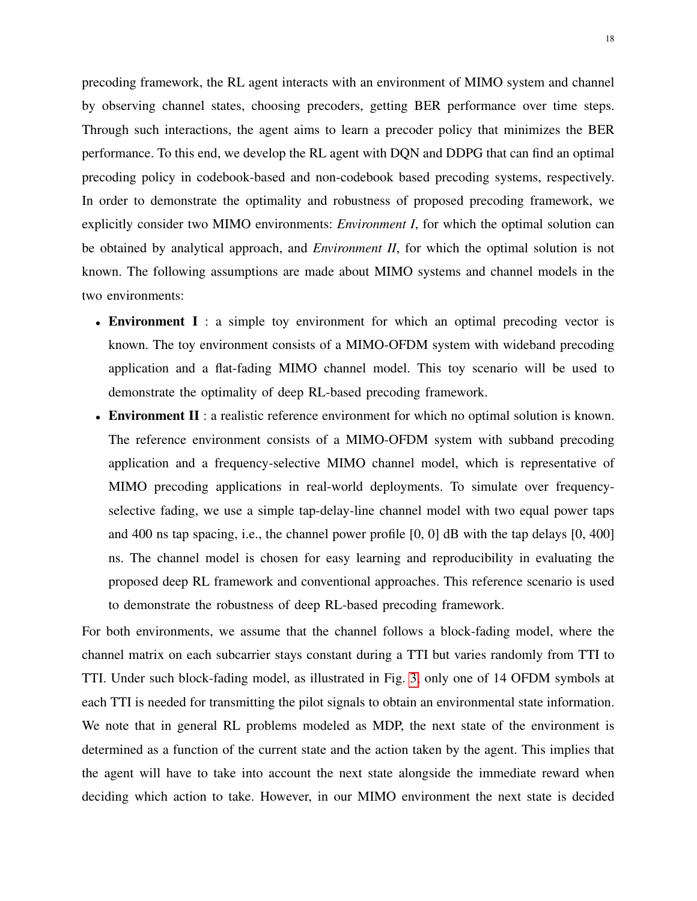precoding framework, the RL agent interacts with an environment of MIMO system and channel by observing channel states, choosing precoders, getting BER performance over time steps. Through such interactions, the agent aims to learn a precoder policy that minimizes the BER performance. To this end, we develop the RL agent with DQN and DDPG that can find an optimal precoding policy in codebook-based and non-codebook based precoding systems, respectively. In order to demonstrate the optimality and robustness of proposed precoding framework, we explicitly consider two MIMO environments: *Environment I*, for which the optimal solution can be obtained by analytical approach, and *Environment II*, for which the optimal solution is not known. The following assumptions are made about MIMO systems and channel models in the two environments:

- Environment I : a simple toy environment for which an optimal precoding vector is known. The toy environment consists of a MIMO-OFDM system with wideband precoding application and a flat-fading MIMO channel model. This toy scenario will be used to demonstrate the optimality of deep RL-based precoding framework.
- Environment II : a realistic reference environment for which no optimal solution is known. The reference environment consists of a MIMO-OFDM system with subband precoding application and a frequency-selective MIMO channel model, which is representative of MIMO precoding applications in real-world deployments. To simulate over frequencyselective fading, we use a simple tap-delay-line channel model with two equal power taps and 400 ns tap spacing, i.e., the channel power profile [0, 0] dB with the tap delays [0, 400] ns. The channel model is chosen for easy learning and reproducibility in evaluating the proposed deep RL framework and conventional approaches. This reference scenario is used to demonstrate the robustness of deep RL-based precoding framework.

For both environments, we assume that the channel follows a block-fading model, where the channel matrix on each subcarrier stays constant during a TTI but varies randomly from TTI to TTI. Under such block-fading model, as illustrated in Fig. [3,](#page-6-0) only one of 14 OFDM symbols at each TTI is needed for transmitting the pilot signals to obtain an environmental state information. We note that in general RL problems modeled as MDP, the next state of the environment is determined as a function of the current state and the action taken by the agent. This implies that the agent will have to take into account the next state alongside the immediate reward when deciding which action to take. However, in our MIMO environment the next state is decided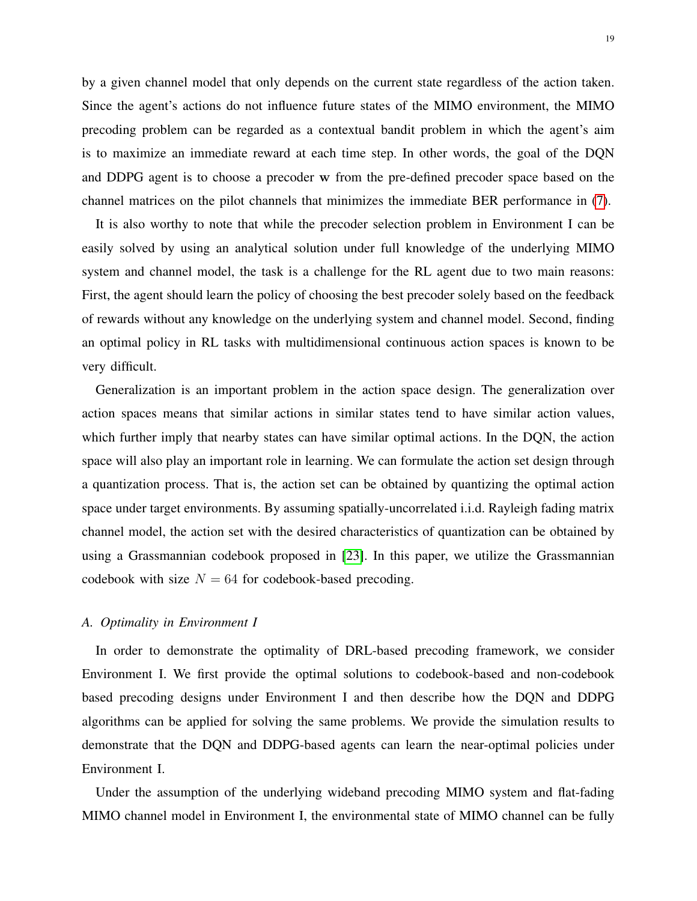by a given channel model that only depends on the current state regardless of the action taken. Since the agent's actions do not influence future states of the MIMO environment, the MIMO precoding problem can be regarded as a contextual bandit problem in which the agent's aim is to maximize an immediate reward at each time step. In other words, the goal of the DQN and DDPG agent is to choose a precoder w from the pre-defined precoder space based on the channel matrices on the pilot channels that minimizes the immediate BER performance in [\(7\)](#page-8-0).

It is also worthy to note that while the precoder selection problem in Environment I can be easily solved by using an analytical solution under full knowledge of the underlying MIMO system and channel model, the task is a challenge for the RL agent due to two main reasons: First, the agent should learn the policy of choosing the best precoder solely based on the feedback of rewards without any knowledge on the underlying system and channel model. Second, finding an optimal policy in RL tasks with multidimensional continuous action spaces is known to be very difficult.

Generalization is an important problem in the action space design. The generalization over action spaces means that similar actions in similar states tend to have similar action values, which further imply that nearby states can have similar optimal actions. In the DQN, the action space will also play an important role in learning. We can formulate the action set design through a quantization process. That is, the action set can be obtained by quantizing the optimal action space under target environments. By assuming spatially-uncorrelated i.i.d. Rayleigh fading matrix channel model, the action set with the desired characteristics of quantization can be obtained by using a Grassmannian codebook proposed in [\[23\]](#page-29-10). In this paper, we utilize the Grassmannian codebook with size  $N = 64$  for codebook-based precoding.

# *A. Optimality in Environment I*

In order to demonstrate the optimality of DRL-based precoding framework, we consider Environment I. We first provide the optimal solutions to codebook-based and non-codebook based precoding designs under Environment I and then describe how the DQN and DDPG algorithms can be applied for solving the same problems. We provide the simulation results to demonstrate that the DQN and DDPG-based agents can learn the near-optimal policies under Environment I.

Under the assumption of the underlying wideband precoding MIMO system and flat-fading MIMO channel model in Environment I, the environmental state of MIMO channel can be fully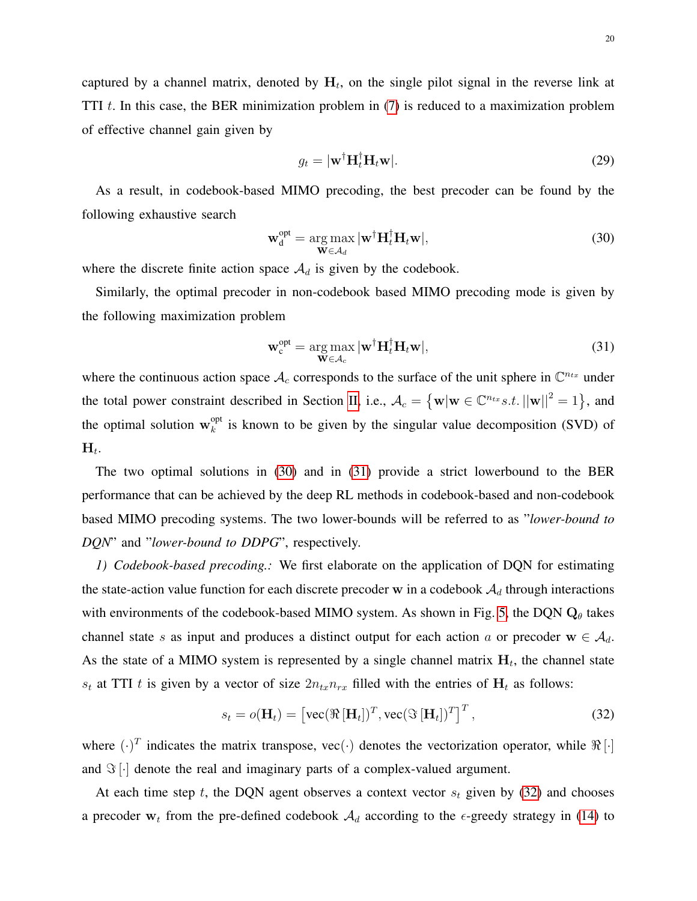captured by a channel matrix, denoted by  $H_t$ , on the single pilot signal in the reverse link at TTI  $t$ . In this case, the BER minimization problem in [\(7\)](#page-8-0) is reduced to a maximization problem of effective channel gain given by

$$
g_t = |\mathbf{w}^\dagger \mathbf{H}_t^\dagger \mathbf{H}_t \mathbf{w}|. \tag{29}
$$

As a result, in codebook-based MIMO precoding, the best precoder can be found by the following exhaustive search

<span id="page-19-0"></span>
$$
\mathbf{w}_d^{\text{opt}} = \underset{\mathbf{W} \in \mathcal{A}_d}{\arg \max} |\mathbf{w}^\dagger \mathbf{H}_t^\dagger \mathbf{H}_t \mathbf{w}|,\tag{30}
$$

where the discrete finite action space  $A_d$  is given by the codebook.

Similarly, the optimal precoder in non-codebook based MIMO precoding mode is given by the following maximization problem

<span id="page-19-1"></span>
$$
\mathbf{w}_c^{\text{opt}} = \underset{\mathbf{W} \in \mathcal{A}_c}{\arg \max} |\mathbf{w}^\dagger \mathbf{H}_t^\dagger \mathbf{H}_t \mathbf{w}|,\tag{31}
$$

where the continuous action space  $\mathcal{A}_c$  corresponds to the surface of the unit sphere in  $\mathbb{C}^{n_{tx}}$  under the total power constraint described in Section [II,](#page-5-0) i.e.,  $A_c = \{ \mathbf{w} | \mathbf{w} \in \mathbb{C}^{n_{tx}} s.t. ||\mathbf{w}||^2 = 1 \}$ , and the optimal solution  $w_k^{\text{opt}}$  $\mathcal{E}_k^{\text{opt}}$  is known to be given by the singular value decomposition (SVD) of  $\mathbf{H}_t.$ 

The two optimal solutions in [\(30\)](#page-19-0) and in [\(31\)](#page-19-1) provide a strict lowerbound to the BER performance that can be achieved by the deep RL methods in codebook-based and non-codebook based MIMO precoding systems. The two lower-bounds will be referred to as "*lower-bound to DQN*" and "*lower-bound to DDPG*", respectively.

*1) Codebook-based precoding.:* We first elaborate on the application of DQN for estimating the state-action value function for each discrete precoder w in a codebook  $A_d$  through interactions with environments of the codebook-based MIMO system. As shown in Fig. [5,](#page-11-0) the DQN  $Q_{\theta}$  takes channel state s as input and produces a distinct output for each action a or precoder  $w \in A_d$ . As the state of a MIMO system is represented by a single channel matrix  $H_t$ , the channel state  $s_t$  at TTI t is given by a vector of size  $2n_{tx}n_{rx}$  filled with the entries of  $H_t$  as follows:

<span id="page-19-2"></span>
$$
s_t = o(\mathbf{H}_t) = \left[ \text{vec}(\Re[\mathbf{H}_t])^T, \text{vec}(\Im[\mathbf{H}_t])^T \right]^T, \tag{32}
$$

where  $(\cdot)^T$  indicates the matrix transpose, vec $(\cdot)$  denotes the vectorization operator, while  $\Re[\cdot]$ and  $\Im[\cdot]$  denote the real and imaginary parts of a complex-valued argument.

At each time step t, the DQN agent observes a context vector  $s_t$  given by [\(32\)](#page-19-2) and chooses a precoder  $w_t$  from the pre-defined codebook  $A_d$  according to the  $\epsilon$ -greedy strategy in [\(14\)](#page-12-1) to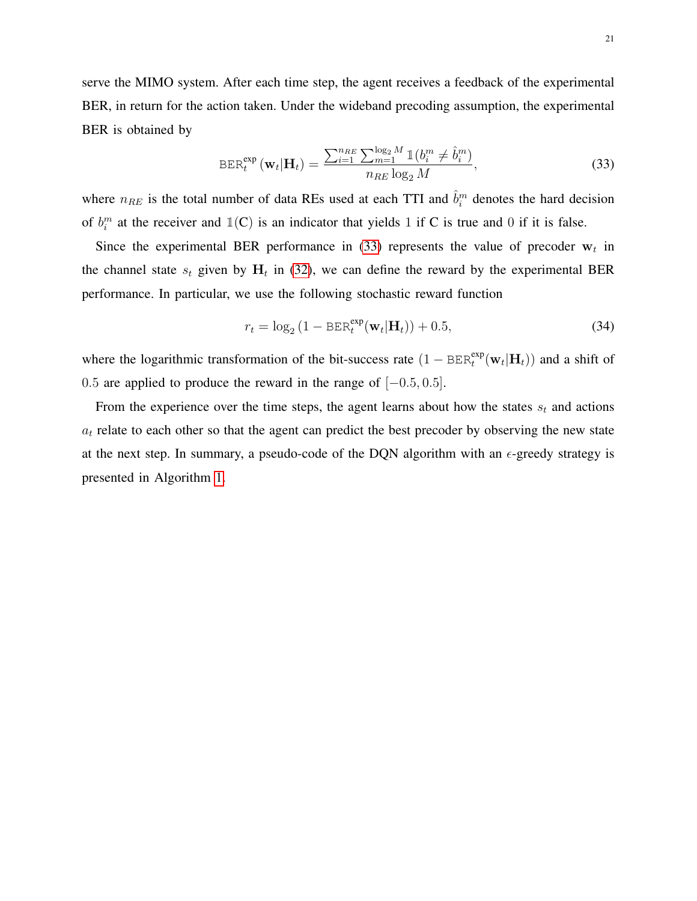serve the MIMO system. After each time step, the agent receives a feedback of the experimental BER, in return for the action taken. Under the wideband precoding assumption, the experimental BER is obtained by

<span id="page-20-0"></span>
$$
BER_t^{\exp}(\mathbf{w}_t|\mathbf{H}_t) = \frac{\sum_{i=1}^{n_{RE}} \sum_{m=1}^{\log_2 M} \mathbb{1}(b_i^m \neq \hat{b}_i^m)}{n_{RE} \log_2 M},
$$
(33)

where  $n_{RE}$  is the total number of data REs used at each TTI and  $\hat{b}_i^m$  denotes the hard decision of  $b_i^m$  at the receiver and  $\mathbb{1}(C)$  is an indicator that yields 1 if C is true and 0 if it is false.

Since the experimental BER performance in [\(33\)](#page-20-0) represents the value of precoder  $w_t$  in the channel state  $s_t$  given by  $H_t$  in [\(32\)](#page-19-2), we can define the reward by the experimental BER performance. In particular, we use the following stochastic reward function

$$
r_t = \log_2\left(1 - \text{BER}_t^{\text{exp}}(\mathbf{w}_t|\mathbf{H}_t)\right) + 0.5,\tag{34}
$$

where the logarithmic transformation of the bit-success rate  $(1 - BER_t^{exp}(\mathbf{w}_t|\mathbf{H}_t))$  and a shift of 0.5 are applied to produce the reward in the range of  $[-0.5, 0.5]$ .

From the experience over the time steps, the agent learns about how the states  $s_t$  and actions  $a_t$  relate to each other so that the agent can predict the best precoder by observing the new state at the next step. In summary, a pseudo-code of the DQN algorithm with an  $\epsilon$ -greedy strategy is presented in Algorithm [1.](#page-21-0)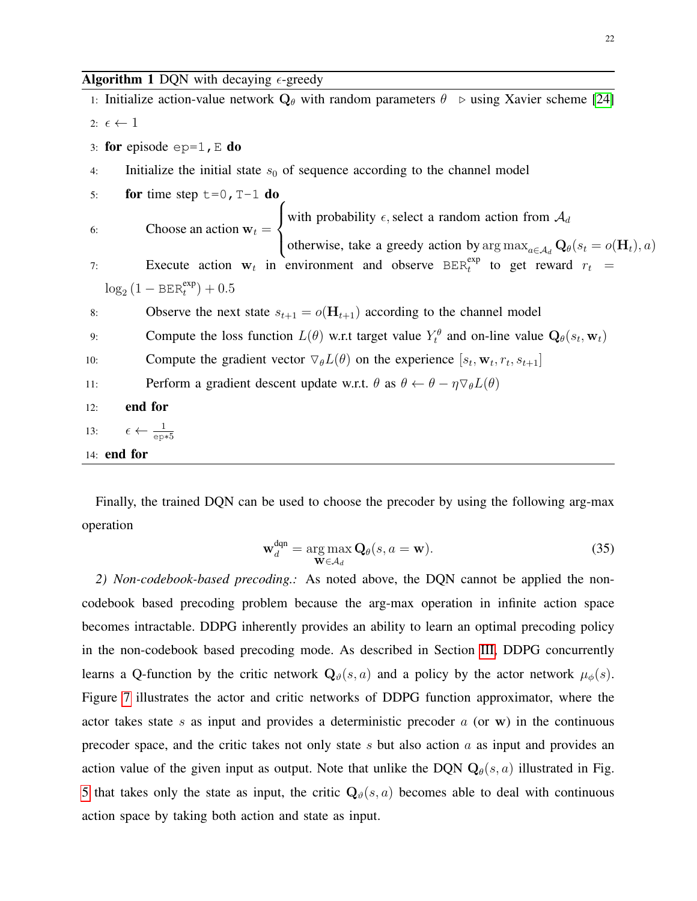<span id="page-21-0"></span>1: Initialize action-value network  $Q_\theta$  with random parameters  $\theta \rightarrow \theta$  using Xavier scheme [\[24\]](#page-29-11) 2:  $\epsilon \leftarrow 1$ 3: for episode  $ep=1$ , E do 4: Initialize the initial state  $s_0$  of sequence according to the channel model 5: for time step  $t=0$ ,  $T-1$  do 6: Choose an action  $w_t =$  $\sqrt{ }$  $\int$  $\overline{\mathcal{L}}$ with probability  $\epsilon$ , select a random action from  $\mathcal{A}_d$ otherwise, take a greedy action by  $\arg \max_{a \in A_d} \mathbf{Q}_{\theta}(s_t = o(\mathbf{H}_t), a)$ 7: Execute action  $w_t$  in environment and observe BER<sup>exp</sup> to get reward  $r_t$  =  $\log_2(1 - \text{BER}_t^{\text{exp}}) + 0.5$ 8: Observe the next state  $s_{t+1} = o(\mathbf{H}_{t+1})$  according to the channel model 9: Compute the loss function  $L(\theta)$  w.r.t target value  $Y_t^{\theta}$  and on-line value  $Q_{\theta}(s_t, w_t)$ 10: Compute the gradient vector  $\nabla_{\theta} L(\theta)$  on the experience  $[s_t, \mathbf{w}_t, r_t, s_{t+1}]$ 11: Perform a gradient descent update w.r.t.  $\theta$  as  $\theta \leftarrow \theta - \eta \nabla_{\theta} L(\theta)$ 12: end for 13:  $\epsilon \leftarrow \frac{1}{\text{ep*5}}$ 14: end for

Finally, the trained DQN can be used to choose the precoder by using the following arg-max operation

$$
\mathbf{w}_d^{\text{dqn}} = \underset{\mathbf{W} \in \mathcal{A}_d}{\arg \max} \mathbf{Q}_\theta(s, a = \mathbf{w}). \tag{35}
$$

*2) Non-codebook-based precoding.:* As noted above, the DQN cannot be applied the noncodebook based precoding problem because the arg-max operation in infinite action space becomes intractable. DDPG inherently provides an ability to learn an optimal precoding policy in the non-codebook based precoding mode. As described in Section [III,](#page-9-0) DDPG concurrently learns a Q-function by the critic network  $\mathbf{Q}_{\theta}(s, a)$  and a policy by the actor network  $\mu_{\phi}(s)$ . Figure [7](#page-22-0) illustrates the actor and critic networks of DDPG function approximator, where the actor takes state  $s$  as input and provides a deterministic precoder  $a$  (or w) in the continuous precoder space, and the critic takes not only state s but also action  $a$  as input and provides an action value of the given input as output. Note that unlike the DQN  $Q_{\theta}(s, a)$  illustrated in Fig. [5](#page-11-0) that takes only the state as input, the critic  $Q_{\theta}(s, a)$  becomes able to deal with continuous action space by taking both action and state as input.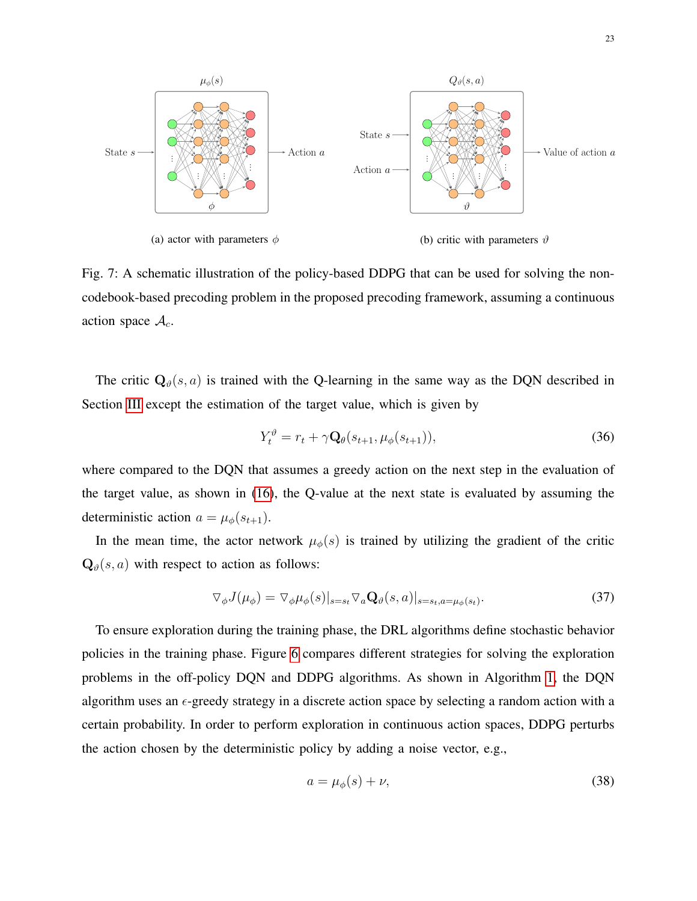<span id="page-22-0"></span>

Fig. 7: A schematic illustration of the policy-based DDPG that can be used for solving the noncodebook-based precoding problem in the proposed precoding framework, assuming a continuous action space  $A_c$ .

The critic  $\mathbf{Q}_{\theta}(s, a)$  is trained with the Q-learning in the same way as the DQN described in Section [III](#page-9-0) except the estimation of the target value, which is given by

$$
Y_t^{\vartheta} = r_t + \gamma \mathbf{Q}_{\theta}(s_{t+1}, \mu_{\phi}(s_{t+1})), \tag{36}
$$

where compared to the DQN that assumes a greedy action on the next step in the evaluation of the target value, as shown in [\(16\)](#page-13-1), the Q-value at the next state is evaluated by assuming the deterministic action  $a = \mu_{\phi}(s_{t+1})$ .

In the mean time, the actor network  $\mu_{\phi}(s)$  is trained by utilizing the gradient of the critic  $\mathbf{Q}_{\vartheta}(s, a)$  with respect to action as follows:

$$
\nabla_{\phi} J(\mu_{\phi}) = \nabla_{\phi} \mu_{\phi}(s)|_{s=s_t} \nabla_a \mathbf{Q}_{\theta}(s, a)|_{s=s_t, a=\mu_{\phi}(s_t)}.
$$
\n(37)

To ensure exploration during the training phase, the DRL algorithms define stochastic behavior policies in the training phase. Figure [6](#page-12-0) compares different strategies for solving the exploration problems in the off-policy DQN and DDPG algorithms. As shown in Algorithm [1,](#page-21-0) the DQN algorithm uses an  $\epsilon$ -greedy strategy in a discrete action space by selecting a random action with a certain probability. In order to perform exploration in continuous action spaces, DDPG perturbs the action chosen by the deterministic policy by adding a noise vector, e.g.,

$$
a = \mu_{\phi}(s) + \nu,\tag{38}
$$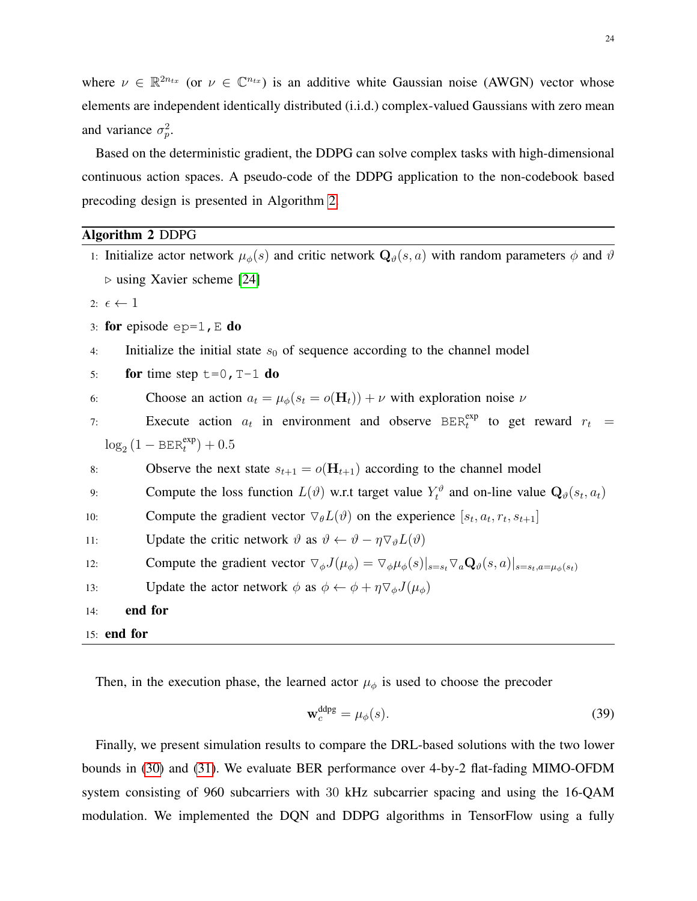where  $\nu \in \mathbb{R}^{2n_{tx}}$  (or  $\nu \in \mathbb{C}^{n_{tx}}$ ) is an additive white Gaussian noise (AWGN) vector whose elements are independent identically distributed (i.i.d.) complex-valued Gaussians with zero mean and variance  $\sigma_p^2$ .

Based on the deterministic gradient, the DDPG can solve complex tasks with high-dimensional continuous action spaces. A pseudo-code of the DDPG application to the non-codebook based precoding design is presented in Algorithm [2.](#page-23-0)

# <span id="page-23-0"></span>Algorithm 2 DDPG

|     | 1: Initialize actor network $\mu_{\phi}(s)$ and critic network $\mathbf{Q}_{\theta}(s, a)$ with random parameters $\phi$ and $\theta$                           |
|-----|-----------------------------------------------------------------------------------------------------------------------------------------------------------------|
|     | $\triangleright$ using Xavier scheme [24]                                                                                                                       |
|     | 2: $\epsilon \leftarrow 1$                                                                                                                                      |
|     | 3: for episode $ep=1$ , E do                                                                                                                                    |
| 4:  | Initialize the initial state $s_0$ of sequence according to the channel model                                                                                   |
| 5:  | for time step $t=0$ , T-1 do                                                                                                                                    |
| 6:  | Choose an action $a_t = \mu_{\phi}(s_t = o(\mathbf{H}_t)) + \nu$ with exploration noise $\nu$                                                                   |
| 7:  | Execute action $a_t$ in environment and observe BER <sup>exp</sup> to get reward $r_t =$                                                                        |
|     | $\log_2(1 - \text{BER}_t^{\text{exp}}) + 0.5$                                                                                                                   |
| 8:  | Observe the next state $s_{t+1} = o(\mathbf{H}_{t+1})$ according to the channel model                                                                           |
| 9:  | Compute the loss function $L(\vartheta)$ w.r.t target value $Y_t^{\vartheta}$ and on-line value $Q_{\vartheta}(s_t, a_t)$                                       |
| 10: | Compute the gradient vector $\nabla_{\theta}L(\vartheta)$ on the experience $[s_t, a_t, r_t, s_{t+1}]$                                                          |
| 11: | Update the critic network $\vartheta$ as $\vartheta \leftarrow \vartheta - \eta \nabla_{\vartheta} L(\vartheta)$                                                |
| 12: | Compute the gradient vector $\nabla_{\phi} J(\mu_{\phi}) = \nabla_{\phi} \mu_{\phi}(s) _{s=s_t} \nabla_a \mathbf{Q}_{\theta}(s, a) _{s=s_t, a=\mu_{\phi}(s_t)}$ |
| 13: | Update the actor network $\phi$ as $\phi \leftarrow \phi + \eta \nabla_{\phi} J(\mu_{\phi})$                                                                    |
| 14: | end for                                                                                                                                                         |
|     | $15:$ end for                                                                                                                                                   |

Then, in the execution phase, the learned actor  $\mu_{\phi}$  is used to choose the precoder

$$
\mathbf{w}_c^{\text{ddpg}} = \mu_\phi(s). \tag{39}
$$

Finally, we present simulation results to compare the DRL-based solutions with the two lower bounds in [\(30\)](#page-19-0) and [\(31\)](#page-19-1). We evaluate BER performance over 4-by-2 flat-fading MIMO-OFDM system consisting of 960 subcarriers with 30 kHz subcarrier spacing and using the 16-QAM modulation. We implemented the DQN and DDPG algorithms in TensorFlow using a fully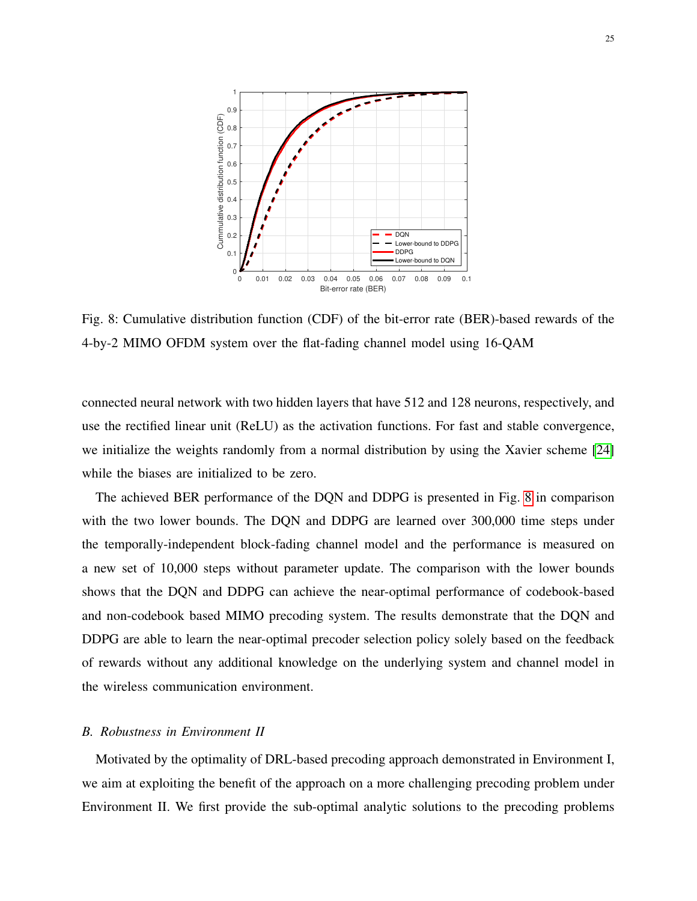<span id="page-24-0"></span>

Fig. 8: Cumulative distribution function (CDF) of the bit-error rate (BER)-based rewards of the 4-by-2 MIMO OFDM system over the flat-fading channel model using 16-QAM

connected neural network with two hidden layers that have 512 and 128 neurons, respectively, and use the rectified linear unit (ReLU) as the activation functions. For fast and stable convergence, we initialize the weights randomly from a normal distribution by using the Xavier scheme [\[24\]](#page-29-11) while the biases are initialized to be zero.

The achieved BER performance of the DQN and DDPG is presented in Fig. [8](#page-24-0) in comparison with the two lower bounds. The DQN and DDPG are learned over 300,000 time steps under the temporally-independent block-fading channel model and the performance is measured on a new set of 10,000 steps without parameter update. The comparison with the lower bounds shows that the DQN and DDPG can achieve the near-optimal performance of codebook-based and non-codebook based MIMO precoding system. The results demonstrate that the DQN and DDPG are able to learn the near-optimal precoder selection policy solely based on the feedback of rewards without any additional knowledge on the underlying system and channel model in the wireless communication environment.

# *B. Robustness in Environment II*

Motivated by the optimality of DRL-based precoding approach demonstrated in Environment I, we aim at exploiting the benefit of the approach on a more challenging precoding problem under Environment II. We first provide the sub-optimal analytic solutions to the precoding problems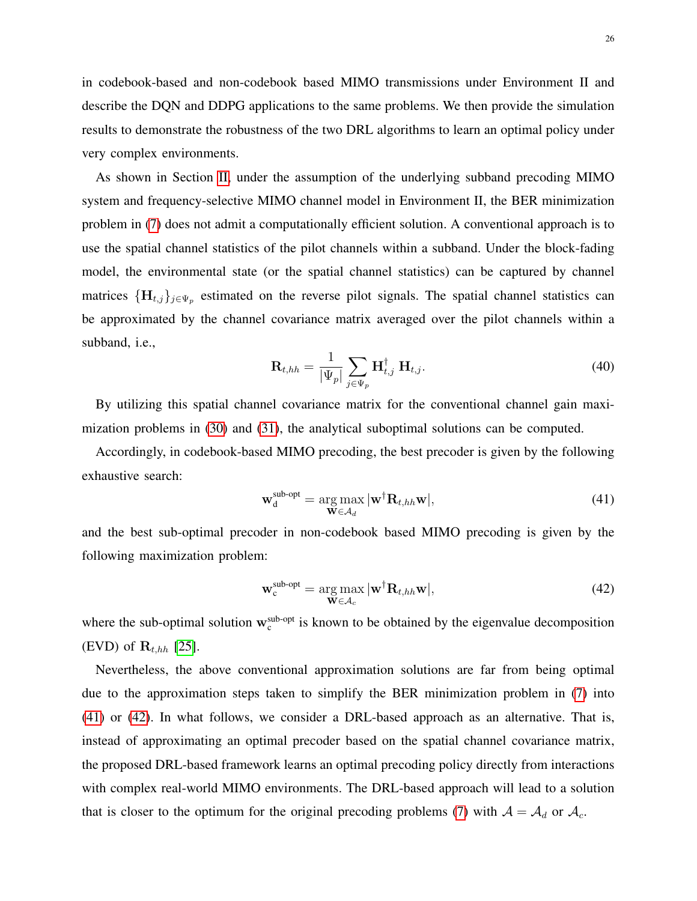in codebook-based and non-codebook based MIMO transmissions under Environment II and describe the DQN and DDPG applications to the same problems. We then provide the simulation results to demonstrate the robustness of the two DRL algorithms to learn an optimal policy under very complex environments.

As shown in Section [II,](#page-5-0) under the assumption of the underlying subband precoding MIMO system and frequency-selective MIMO channel model in Environment II, the BER minimization problem in [\(7\)](#page-8-0) does not admit a computationally efficient solution. A conventional approach is to use the spatial channel statistics of the pilot channels within a subband. Under the block-fading model, the environmental state (or the spatial channel statistics) can be captured by channel matrices  $\{\mathbf H_{t,j}\}_{j\in \Psi_p}$  estimated on the reverse pilot signals. The spatial channel statistics can be approximated by the channel covariance matrix averaged over the pilot channels within a subband, i.e.,

$$
\mathbf{R}_{t,hh} = \frac{1}{|\Psi_p|} \sum_{j \in \Psi_p} \mathbf{H}_{t,j}^{\dagger} \mathbf{H}_{t,j}.
$$
 (40)

By utilizing this spatial channel covariance matrix for the conventional channel gain maximization problems in [\(30\)](#page-19-0) and [\(31\)](#page-19-1), the analytical suboptimal solutions can be computed.

Accordingly, in codebook-based MIMO precoding, the best precoder is given by the following exhaustive search:

<span id="page-25-0"></span>
$$
\mathbf{w}_{d}^{\text{sub-opt}} = \underset{\mathbf{W} \in \mathcal{A}_{d}}{\arg \max} |\mathbf{w}^{\dagger} \mathbf{R}_{t,hh} \mathbf{w}|, \qquad (41)
$$

and the best sub-optimal precoder in non-codebook based MIMO precoding is given by the following maximization problem:

<span id="page-25-1"></span>
$$
\mathbf{w}_{\mathrm{c}}^{\mathrm{sub-opt}} = \underset{\mathbf{W} \in \mathcal{A}_c}{\arg \max} |\mathbf{w}^{\dagger} \mathbf{R}_{t,hh} \mathbf{w}|,\tag{42}
$$

where the sub-optimal solution  $w_c^{sub-opt}$  is known to be obtained by the eigenvalue decomposition (EVD) of  $\mathbf{R}_{t, hh}$  [\[25\]](#page-29-12).

Nevertheless, the above conventional approximation solutions are far from being optimal due to the approximation steps taken to simplify the BER minimization problem in [\(7\)](#page-8-0) into [\(41\)](#page-25-0) or [\(42\)](#page-25-1). In what follows, we consider a DRL-based approach as an alternative. That is, instead of approximating an optimal precoder based on the spatial channel covariance matrix, the proposed DRL-based framework learns an optimal precoding policy directly from interactions with complex real-world MIMO environments. The DRL-based approach will lead to a solution that is closer to the optimum for the original precoding problems [\(7\)](#page-8-0) with  $A = A_d$  or  $A_c$ .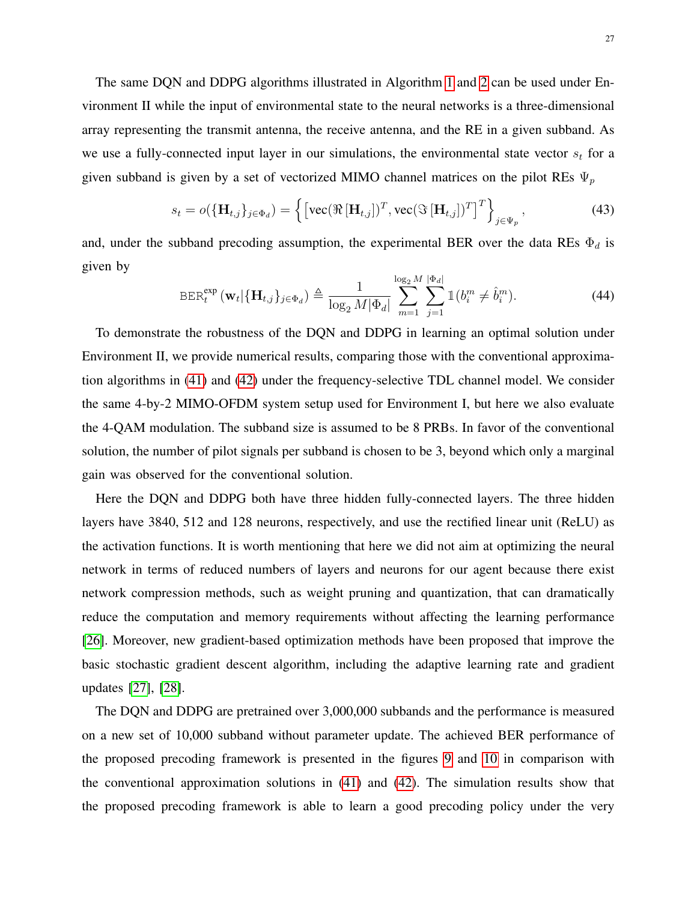The same DQN and DDPG algorithms illustrated in Algorithm [1](#page-21-0) and [2](#page-23-0) can be used under Environment II while the input of environmental state to the neural networks is a three-dimensional array representing the transmit antenna, the receive antenna, and the RE in a given subband. As we use a fully-connected input layer in our simulations, the environmental state vector  $s_t$  for a given subband is given by a set of vectorized MIMO channel matrices on the pilot REs  $\Psi_p$ 

$$
s_t = o(\{\mathbf{H}_{t,j}\}_{j \in \Phi_d}) = \left\{ \left[ \text{vec}(\Re[\mathbf{H}_{t,j}])^T, \text{vec}(\Im[\mathbf{H}_{t,j}])^T \right]^T \right\}_{j \in \Psi_p},
$$
(43)

and, under the subband precoding assumption, the experimental BER over the data REs  $\Phi_d$  is given by

$$
\operatorname{BER}^{\exp}_{t}\left(\mathbf{w}_{t}|\{\mathbf{H}_{t,j}\}_{j\in\Phi_{d}}\right) \triangleq \frac{1}{\log_{2}M|\Phi_{d}|}\sum_{m=1}^{\log_{2}M} \sum_{j=1}^{|\Phi_{d}|}\mathbb{1}(b_{i}^{m} \neq \hat{b}_{i}^{m}).
$$
\n(44)

To demonstrate the robustness of the DQN and DDPG in learning an optimal solution under Environment II, we provide numerical results, comparing those with the conventional approximation algorithms in [\(41\)](#page-25-0) and [\(42\)](#page-25-1) under the frequency-selective TDL channel model. We consider the same 4-by-2 MIMO-OFDM system setup used for Environment I, but here we also evaluate the 4-QAM modulation. The subband size is assumed to be 8 PRBs. In favor of the conventional solution, the number of pilot signals per subband is chosen to be 3, beyond which only a marginal gain was observed for the conventional solution.

Here the DQN and DDPG both have three hidden fully-connected layers. The three hidden layers have 3840, 512 and 128 neurons, respectively, and use the rectified linear unit (ReLU) as the activation functions. It is worth mentioning that here we did not aim at optimizing the neural network in terms of reduced numbers of layers and neurons for our agent because there exist network compression methods, such as weight pruning and quantization, that can dramatically reduce the computation and memory requirements without affecting the learning performance [\[26\]](#page-29-13). Moreover, new gradient-based optimization methods have been proposed that improve the basic stochastic gradient descent algorithm, including the adaptive learning rate and gradient updates [\[27\]](#page-29-14), [\[28\]](#page-29-15).

The DQN and DDPG are pretrained over 3,000,000 subbands and the performance is measured on a new set of 10,000 subband without parameter update. The achieved BER performance of the proposed precoding framework is presented in the figures [9](#page-27-1) and [10](#page-27-2) in comparison with the conventional approximation solutions in [\(41\)](#page-25-0) and [\(42\)](#page-25-1). The simulation results show that the proposed precoding framework is able to learn a good precoding policy under the very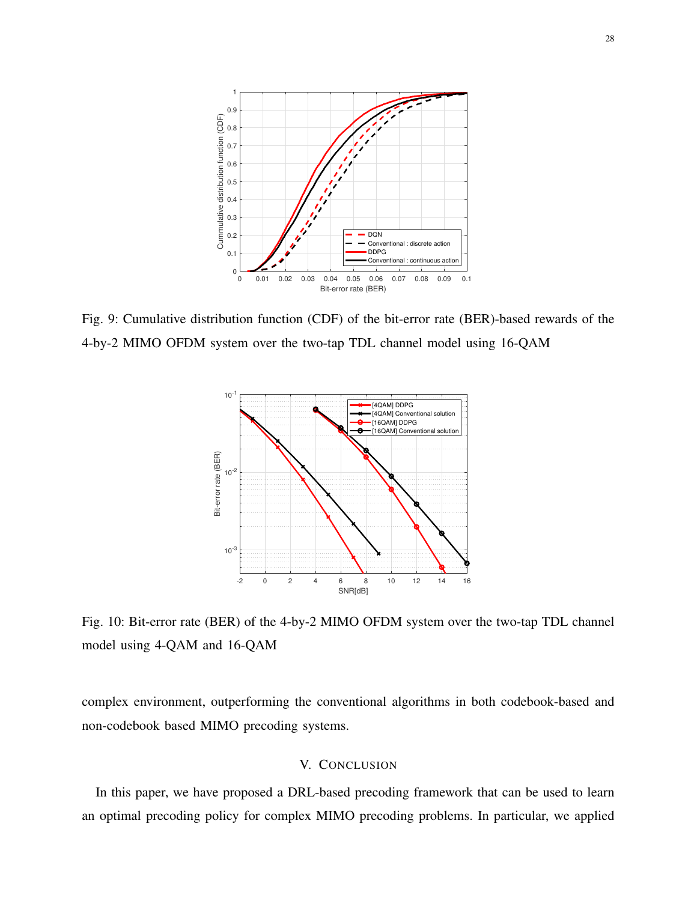<span id="page-27-1"></span>

<span id="page-27-2"></span>Fig. 9: Cumulative distribution function (CDF) of the bit-error rate (BER)-based rewards of the 4-by-2 MIMO OFDM system over the two-tap TDL channel model using 16-QAM



Fig. 10: Bit-error rate (BER) of the 4-by-2 MIMO OFDM system over the two-tap TDL channel model using 4-QAM and 16-QAM

complex environment, outperforming the conventional algorithms in both codebook-based and non-codebook based MIMO precoding systems.

# V. CONCLUSION

<span id="page-27-0"></span>In this paper, we have proposed a DRL-based precoding framework that can be used to learn an optimal precoding policy for complex MIMO precoding problems. In particular, we applied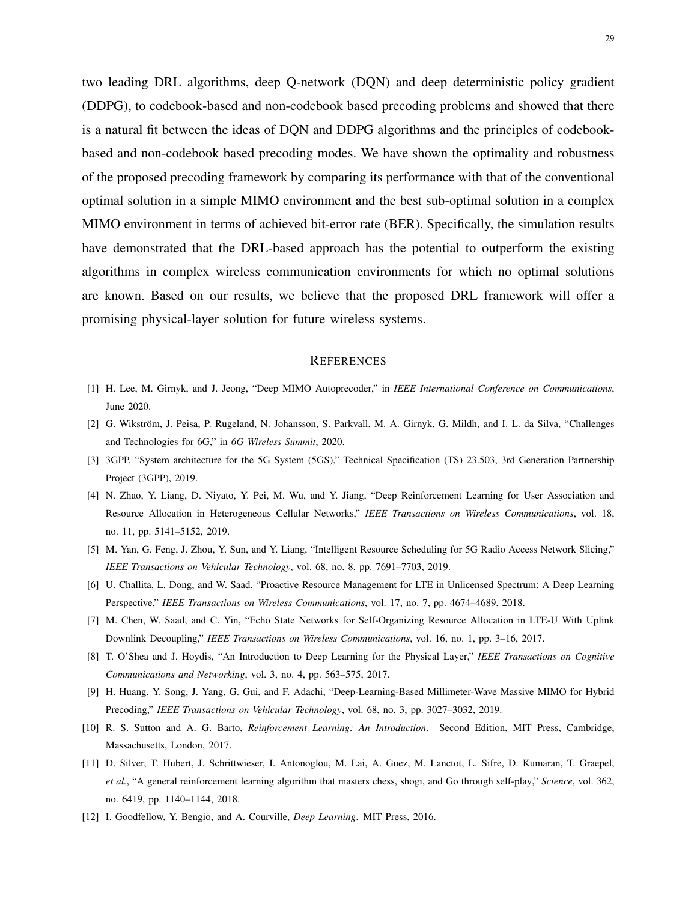two leading DRL algorithms, deep Q-network (DQN) and deep deterministic policy gradient (DDPG), to codebook-based and non-codebook based precoding problems and showed that there is a natural fit between the ideas of DQN and DDPG algorithms and the principles of codebookbased and non-codebook based precoding modes. We have shown the optimality and robustness of the proposed precoding framework by comparing its performance with that of the conventional optimal solution in a simple MIMO environment and the best sub-optimal solution in a complex MIMO environment in terms of achieved bit-error rate (BER). Specifically, the simulation results have demonstrated that the DRL-based approach has the potential to outperform the existing algorithms in complex wireless communication environments for which no optimal solutions are known. Based on our results, we believe that the proposed DRL framework will offer a promising physical-layer solution for future wireless systems.

#### **REFERENCES**

- <span id="page-28-0"></span>[1] H. Lee, M. Girnyk, and J. Jeong, "Deep MIMO Autoprecoder," in *IEEE International Conference on Communications*, June 2020.
- <span id="page-28-1"></span>[2] G. Wikström, J. Peisa, P. Rugeland, N. Johansson, S. Parkvall, M. A. Girnyk, G. Mildh, and I. L. da Silva, "Challenges and Technologies for 6G," in *6G Wireless Summit*, 2020.
- <span id="page-28-2"></span>[3] 3GPP, "System architecture for the 5G System (5GS)," Technical Specification (TS) 23.503, 3rd Generation Partnership Project (3GPP), 2019.
- <span id="page-28-3"></span>[4] N. Zhao, Y. Liang, D. Niyato, Y. Pei, M. Wu, and Y. Jiang, "Deep Reinforcement Learning for User Association and Resource Allocation in Heterogeneous Cellular Networks," *IEEE Transactions on Wireless Communications*, vol. 18, no. 11, pp. 5141–5152, 2019.
- <span id="page-28-4"></span>[5] M. Yan, G. Feng, J. Zhou, Y. Sun, and Y. Liang, "Intelligent Resource Scheduling for 5G Radio Access Network Slicing," *IEEE Transactions on Vehicular Technology*, vol. 68, no. 8, pp. 7691–7703, 2019.
- <span id="page-28-5"></span>[6] U. Challita, L. Dong, and W. Saad, "Proactive Resource Management for LTE in Unlicensed Spectrum: A Deep Learning Perspective," *IEEE Transactions on Wireless Communications*, vol. 17, no. 7, pp. 4674–4689, 2018.
- <span id="page-28-6"></span>[7] M. Chen, W. Saad, and C. Yin, "Echo State Networks for Self-Organizing Resource Allocation in LTE-U With Uplink Downlink Decoupling," *IEEE Transactions on Wireless Communications*, vol. 16, no. 1, pp. 3–16, 2017.
- <span id="page-28-7"></span>[8] T. O'Shea and J. Hoydis, "An Introduction to Deep Learning for the Physical Layer," *IEEE Transactions on Cognitive Communications and Networking*, vol. 3, no. 4, pp. 563–575, 2017.
- <span id="page-28-8"></span>[9] H. Huang, Y. Song, J. Yang, G. Gui, and F. Adachi, "Deep-Learning-Based Millimeter-Wave Massive MIMO for Hybrid Precoding," *IEEE Transactions on Vehicular Technology*, vol. 68, no. 3, pp. 3027–3032, 2019.
- <span id="page-28-9"></span>[10] R. S. Sutton and A. G. Barto, *Reinforcement Learning: An Introduction*. Second Edition, MIT Press, Cambridge, Massachusetts, London, 2017.
- <span id="page-28-10"></span>[11] D. Silver, T. Hubert, J. Schrittwieser, I. Antonoglou, M. Lai, A. Guez, M. Lanctot, L. Sifre, D. Kumaran, T. Graepel, *et al.*, "A general reinforcement learning algorithm that masters chess, shogi, and Go through self-play," *Science*, vol. 362, no. 6419, pp. 1140–1144, 2018.
- <span id="page-28-11"></span>[12] I. Goodfellow, Y. Bengio, and A. Courville, *Deep Learning*. MIT Press, 2016.